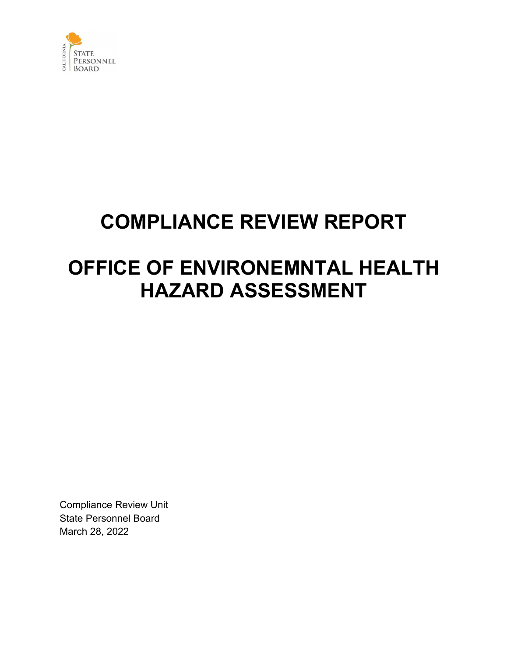

## **COMPLIANCE REVIEW REPORT**

## **OFFICE OF ENVIRONEMNTAL HEALTH HAZARD ASSESSMENT**

Compliance Review Unit State Personnel Board March 28, 2022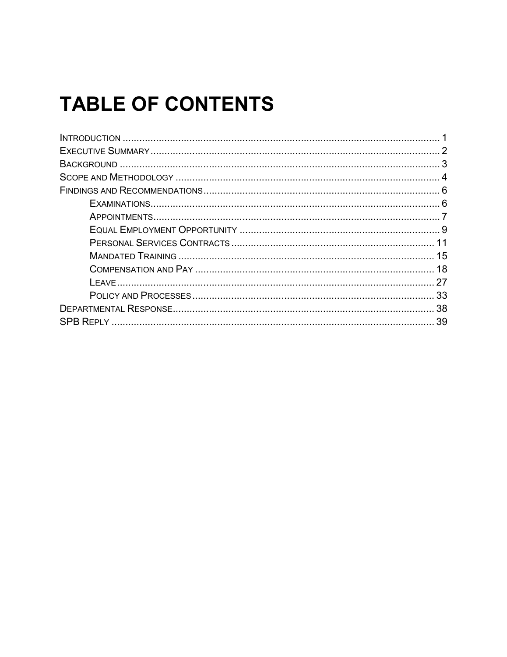# **TABLE OF CONTENTS**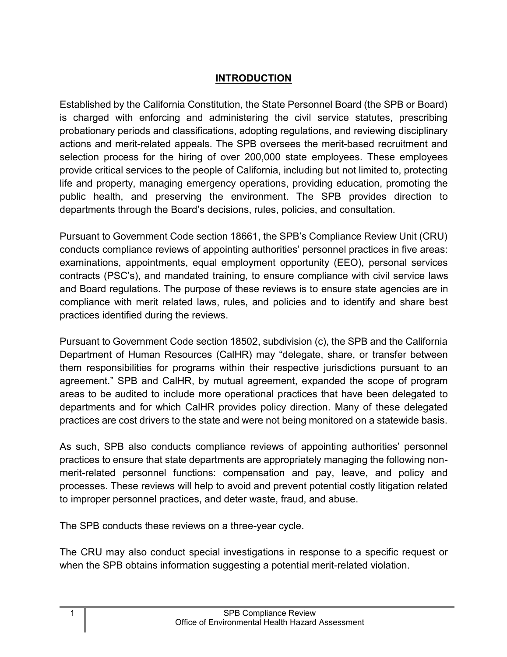## **INTRODUCTION**

<span id="page-2-0"></span>Established by the California Constitution, the State Personnel Board (the SPB or Board) is charged with enforcing and administering the civil service statutes, prescribing probationary periods and classifications, adopting regulations, and reviewing disciplinary actions and merit-related appeals. The SPB oversees the merit-based recruitment and selection process for the hiring of over 200,000 state employees. These employees provide critical services to the people of California, including but not limited to, protecting life and property, managing emergency operations, providing education, promoting the public health, and preserving the environment. The SPB provides direction to departments through the Board's decisions, rules, policies, and consultation.

Pursuant to Government Code section 18661, the SPB's Compliance Review Unit (CRU) conducts compliance reviews of appointing authorities' personnel practices in five areas: examinations, appointments, equal employment opportunity (EEO), personal services contracts (PSC's), and mandated training, to ensure compliance with civil service laws and Board regulations. The purpose of these reviews is to ensure state agencies are in compliance with merit related laws, rules, and policies and to identify and share best practices identified during the reviews.

Pursuant to Government Code section 18502, subdivision (c), the SPB and the California Department of Human Resources (CalHR) may "delegate, share, or transfer between them responsibilities for programs within their respective jurisdictions pursuant to an agreement." SPB and CalHR, by mutual agreement, expanded the scope of program areas to be audited to include more operational practices that have been delegated to departments and for which CalHR provides policy direction. Many of these delegated practices are cost drivers to the state and were not being monitored on a statewide basis.

As such, SPB also conducts compliance reviews of appointing authorities' personnel practices to ensure that state departments are appropriately managing the following nonmerit-related personnel functions: compensation and pay, leave, and policy and processes. These reviews will help to avoid and prevent potential costly litigation related to improper personnel practices, and deter waste, fraud, and abuse.

The SPB conducts these reviews on a three-year cycle.

The CRU may also conduct special investigations in response to a specific request or when the SPB obtains information suggesting a potential merit-related violation.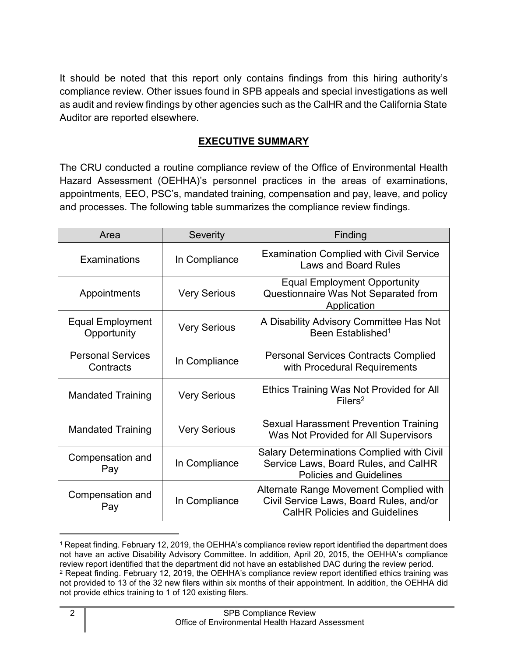It should be noted that this report only contains findings from this hiring authority's compliance review. Other issues found in SPB appeals and special investigations as well as audit and review findings by other agencies such as the CalHR and the California State Auditor are reported elsewhere.

### **EXECUTIVE SUMMARY**

<span id="page-3-0"></span>The CRU conducted a routine compliance review of the Office of Environmental Health Hazard Assessment (OEHHA)'s personnel practices in the areas of examinations, appointments, EEO, PSC's, mandated training, compensation and pay, leave, and policy and processes. The following table summarizes the compliance review findings.

| Area                                            | <b>Severity</b><br>Finding |                                                                                                                            |
|-------------------------------------------------|----------------------------|----------------------------------------------------------------------------------------------------------------------------|
| Examinations                                    | In Compliance              | <b>Examination Complied with Civil Service</b><br><b>Laws and Board Rules</b>                                              |
| Appointments                                    | <b>Very Serious</b>        | <b>Equal Employment Opportunity</b><br>Questionnaire Was Not Separated from<br>Application                                 |
| <b>Equal Employment</b><br>Opportunity          | <b>Very Serious</b>        | A Disability Advisory Committee Has Not<br>Been Established <sup>1</sup>                                                   |
| <b>Personal Services</b><br>Contracts           | In Compliance              | <b>Personal Services Contracts Complied</b><br>with Procedural Requirements                                                |
| <b>Very Serious</b><br><b>Mandated Training</b> |                            | Ethics Training Was Not Provided for All<br>Filers <sup>2</sup>                                                            |
| <b>Very Serious</b><br><b>Mandated Training</b> |                            | <b>Sexual Harassment Prevention Training</b><br>Was Not Provided for All Supervisors                                       |
| Compensation and<br>In Compliance<br>Pay        |                            | <b>Salary Determinations Complied with Civil</b><br>Service Laws, Board Rules, and CalHR<br><b>Policies and Guidelines</b> |
| Compensation and<br>In Compliance<br>Pay        |                            | Alternate Range Movement Complied with<br>Civil Service Laws, Board Rules, and/or<br><b>CalHR Policies and Guidelines</b>  |

<span id="page-3-2"></span><span id="page-3-1"></span><sup>1</sup> Repeat finding. February 12, 2019, the OEHHA's compliance review report identified the department does not have an active Disability Advisory Committee. In addition, April 20, 2015, the OEHHA's compliance review report identified that the department did not have an established DAC during the review period. <sup>2</sup> Repeat finding. February 12, 2019, the OEHHA's compliance review report identified ethics training was not provided to 13 of the 32 new filers within six months of their appointment. In addition, the OEHHA did not provide ethics training to 1 of 120 existing filers.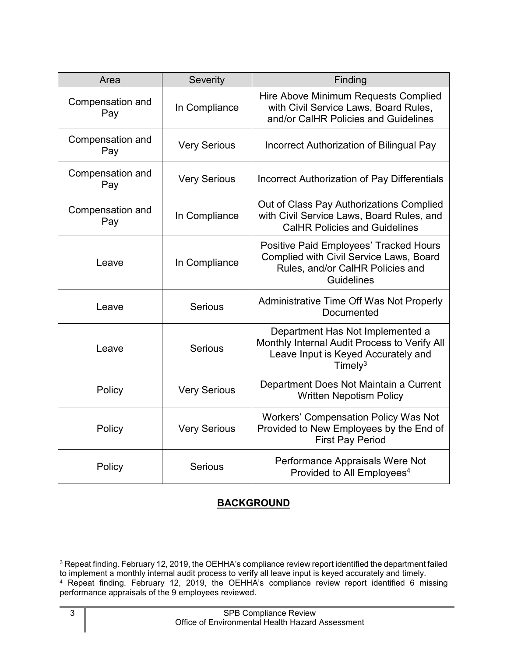| Area                    | <b>Severity</b>     | Finding                                                                                                                                    |
|-------------------------|---------------------|--------------------------------------------------------------------------------------------------------------------------------------------|
| Compensation and<br>Pay | In Compliance       | Hire Above Minimum Requests Complied<br>with Civil Service Laws, Board Rules,<br>and/or CalHR Policies and Guidelines                      |
| Compensation and<br>Pay | <b>Very Serious</b> | Incorrect Authorization of Bilingual Pay                                                                                                   |
| Compensation and<br>Pay | <b>Very Serious</b> | <b>Incorrect Authorization of Pay Differentials</b>                                                                                        |
| Compensation and<br>Pay | In Compliance       | Out of Class Pay Authorizations Complied<br>with Civil Service Laws, Board Rules, and<br><b>CalHR Policies and Guidelines</b>              |
| Leave                   | In Compliance       | <b>Positive Paid Employees' Tracked Hours</b><br>Complied with Civil Service Laws, Board<br>Rules, and/or CalHR Policies and<br>Guidelines |
| Leave                   | <b>Serious</b>      | Administrative Time Off Was Not Properly<br>Documented                                                                                     |
| Leave                   | <b>Serious</b>      | Department Has Not Implemented a<br>Monthly Internal Audit Process to Verify All<br>Leave Input is Keyed Accurately and<br>Timely $3$      |
| Policy                  | <b>Very Serious</b> | Department Does Not Maintain a Current<br><b>Written Nepotism Policy</b>                                                                   |
| Policy                  | <b>Very Serious</b> | <b>Workers' Compensation Policy Was Not</b><br>Provided to New Employees by the End of<br><b>First Pay Period</b>                          |
| Policy                  | <b>Serious</b>      | Performance Appraisals Were Not<br>Provided to All Employees <sup>4</sup>                                                                  |

## **BACKGROUND**

<span id="page-4-1"></span><span id="page-4-0"></span><sup>&</sup>lt;sup>3</sup> Repeat finding. February 12, 2019, the OEHHA's compliance review report identified the department failed to implement a monthly internal audit process to verify all leave input is keyed accurately and timely. <sup>4</sup> Repeat finding. February 12, 2019, the OEHHA's compliance review report identified 6 missing

<span id="page-4-2"></span>performance appraisals of the 9 employees reviewed.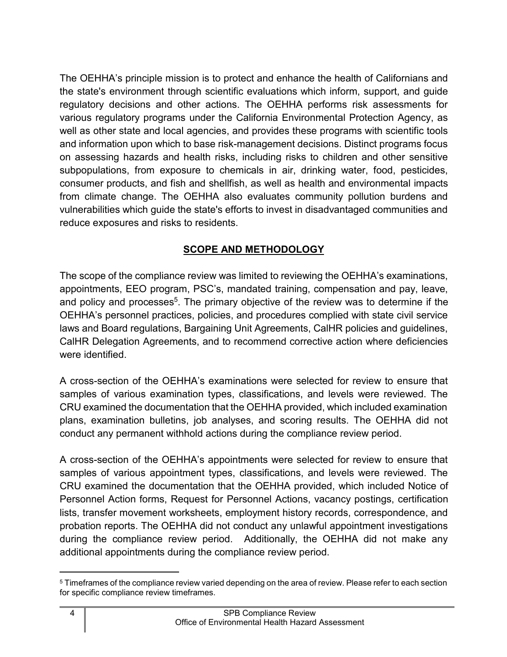The OEHHA's principle mission is to protect and enhance the health of Californians and the state's environment through scientific evaluations which inform, support, and guide regulatory decisions and other actions. The OEHHA performs risk assessments for various regulatory programs under the California Environmental Protection Agency, as well as other state and local agencies, and provides these programs with scientific tools and information upon which to base risk-management decisions. Distinct programs focus on assessing hazards and health risks, including risks to children and other sensitive subpopulations, from exposure to chemicals in air, drinking water, food, pesticides, consumer products, and fish and shellfish, as well as health and environmental impacts from climate change. The OEHHA also evaluates community pollution burdens and vulnerabilities which guide the state's efforts to invest in disadvantaged communities and reduce exposures and risks to residents.

## **SCOPE AND METHODOLOGY**

<span id="page-5-0"></span>The scope of the compliance review was limited to reviewing the OEHHA's examinations, appointments, EEO program, PSC's, mandated training, compensation and pay, leave, and policy and processes<sup>[5](#page-5-1)</sup>. The primary objective of the review was to determine if the OEHHA's personnel practices, policies, and procedures complied with state civil service laws and Board regulations, Bargaining Unit Agreements, CalHR policies and guidelines, CalHR Delegation Agreements, and to recommend corrective action where deficiencies were identified.

A cross-section of the OEHHA's examinations were selected for review to ensure that samples of various examination types, classifications, and levels were reviewed. The CRU examined the documentation that the OEHHA provided, which included examination plans, examination bulletins, job analyses, and scoring results. The OEHHA did not conduct any permanent withhold actions during the compliance review period.

A cross-section of the OEHHA's appointments were selected for review to ensure that samples of various appointment types, classifications, and levels were reviewed. The CRU examined the documentation that the OEHHA provided, which included Notice of Personnel Action forms, Request for Personnel Actions, vacancy postings, certification lists, transfer movement worksheets, employment history records, correspondence, and probation reports. The OEHHA did not conduct any unlawful appointment investigations during the compliance review period. Additionally, the OEHHA did not make any additional appointments during the compliance review period.

<span id="page-5-1"></span><sup>5</sup> Timeframes of the compliance review varied depending on the area of review. Please refer to each section for specific compliance review timeframes.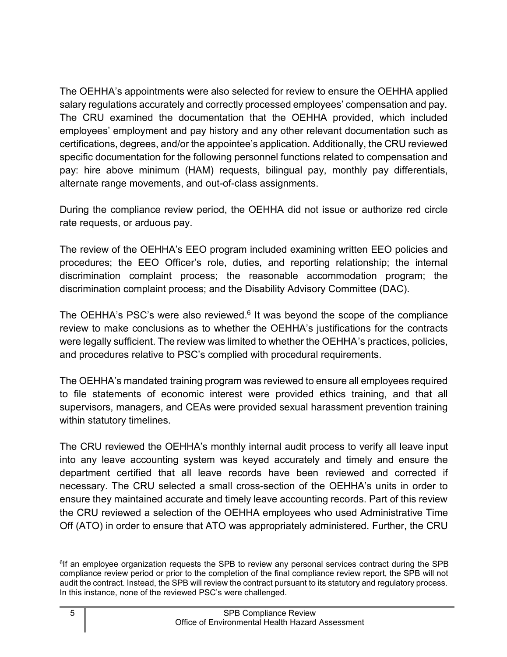The OEHHA's appointments were also selected for review to ensure the OEHHA applied salary regulations accurately and correctly processed employees' compensation and pay. The CRU examined the documentation that the OEHHA provided, which included employees' employment and pay history and any other relevant documentation such as certifications, degrees, and/or the appointee's application. Additionally, the CRU reviewed specific documentation for the following personnel functions related to compensation and pay: hire above minimum (HAM) requests, bilingual pay, monthly pay differentials, alternate range movements, and out-of-class assignments.

During the compliance review period, the OEHHA did not issue or authorize red circle rate requests, or arduous pay.

The review of the OEHHA's EEO program included examining written EEO policies and procedures; the EEO Officer's role, duties, and reporting relationship; the internal discrimination complaint process; the reasonable accommodation program; the discrimination complaint process; and the Disability Advisory Committee (DAC).

The OEHHA's PSC's were also reviewed. $6$  It was beyond the scope of the compliance review to make conclusions as to whether the OEHHA's justifications for the contracts were legally sufficient. The review was limited to whether the OEHHA's practices, policies, and procedures relative to PSC's complied with procedural requirements.

The OEHHA's mandated training program was reviewed to ensure all employees required to file statements of economic interest were provided ethics training, and that all supervisors, managers, and CEAs were provided sexual harassment prevention training within statutory timelines.

The CRU reviewed the OEHHA's monthly internal audit process to verify all leave input into any leave accounting system was keyed accurately and timely and ensure the department certified that all leave records have been reviewed and corrected if necessary. The CRU selected a small cross-section of the OEHHA's units in order to ensure they maintained accurate and timely leave accounting records. Part of this review the CRU reviewed a selection of the OEHHA employees who used Administrative Time Off (ATO) in order to ensure that ATO was appropriately administered. Further, the CRU

<span id="page-6-0"></span> $e^{6}$  f an employee organization requests the SPB to review any personal services contract during the SPB compliance review period or prior to the completion of the final compliance review report, the SPB will not audit the contract. Instead, the SPB will review the contract pursuant to its statutory and regulatory process. In this instance, none of the reviewed PSC's were challenged.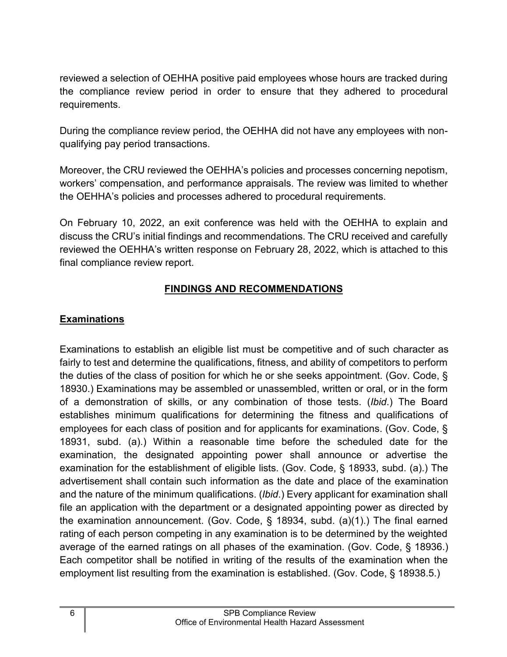reviewed a selection of OEHHA positive paid employees whose hours are tracked during the compliance review period in order to ensure that they adhered to procedural requirements.

During the compliance review period, the OEHHA did not have any employees with nonqualifying pay period transactions.

Moreover, the CRU reviewed the OEHHA's policies and processes concerning nepotism, workers' compensation, and performance appraisals. The review was limited to whether the OEHHA's policies and processes adhered to procedural requirements.

On February 10, 2022, an exit conference was held with the OEHHA to explain and discuss the CRU's initial findings and recommendations. The CRU received and carefully reviewed the OEHHA's written response on February 28, 2022, which is attached to this final compliance review report.

## **FINDINGS AND RECOMMENDATIONS**

## <span id="page-7-1"></span><span id="page-7-0"></span>**Examinations**

Examinations to establish an eligible list must be competitive and of such character as fairly to test and determine the qualifications, fitness, and ability of competitors to perform the duties of the class of position for which he or she seeks appointment. (Gov. Code, § 18930.) Examinations may be assembled or unassembled, written or oral, or in the form of a demonstration of skills, or any combination of those tests. (*Ibid*.) The Board establishes minimum qualifications for determining the fitness and qualifications of employees for each class of position and for applicants for examinations. (Gov. Code, § 18931, subd. (a).) Within a reasonable time before the scheduled date for the examination, the designated appointing power shall announce or advertise the examination for the establishment of eligible lists. (Gov. Code, § 18933, subd. (a).) The advertisement shall contain such information as the date and place of the examination and the nature of the minimum qualifications. (*Ibid*.) Every applicant for examination shall file an application with the department or a designated appointing power as directed by the examination announcement. (Gov. Code, § 18934, subd. (a)(1).) The final earned rating of each person competing in any examination is to be determined by the weighted average of the earned ratings on all phases of the examination. (Gov. Code, § 18936.) Each competitor shall be notified in writing of the results of the examination when the employment list resulting from the examination is established. (Gov. Code, § 18938.5.)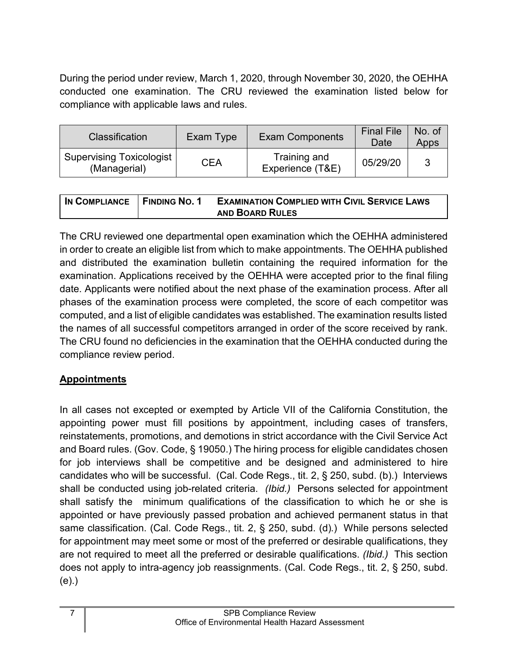During the period under review, March 1, 2020, through November 30, 2020, the OEHHA conducted one examination. The CRU reviewed the examination listed below for compliance with applicable laws and rules.

| <b>Classification</b>                    | Exam Type | <b>Exam Components</b>           | <b>Final File</b><br>Date | No. of<br>Apps |
|------------------------------------------|-----------|----------------------------------|---------------------------|----------------|
| Supervising Toxicologist<br>(Managerial) | CEA       | Training and<br>Experience (T&E) | 05/29/20                  |                |

| IN COMPLIANCE FINDING NO. 1 | <b>EXAMINATION COMPLIED WITH CIVIL SERVICE LAWS</b> |
|-----------------------------|-----------------------------------------------------|
|                             | <b>AND BOARD RULES</b>                              |

The CRU reviewed one departmental open examination which the OEHHA administered in order to create an eligible list from which to make appointments. The OEHHA published and distributed the examination bulletin containing the required information for the examination. Applications received by the OEHHA were accepted prior to the final filing date. Applicants were notified about the next phase of the examination process. After all phases of the examination process were completed, the score of each competitor was computed, and a list of eligible candidates was established. The examination results listed the names of all successful competitors arranged in order of the score received by rank. The CRU found no deficiencies in the examination that the OEHHA conducted during the compliance review period.

## <span id="page-8-0"></span>**Appointments**

In all cases not excepted or exempted by Article VII of the California Constitution, the appointing power must fill positions by appointment, including cases of transfers, reinstatements, promotions, and demotions in strict accordance with the Civil Service Act and Board rules. (Gov. Code, § 19050.) The hiring process for eligible candidates chosen for job interviews shall be competitive and be designed and administered to hire candidates who will be successful. (Cal. Code Regs., tit. 2, § 250, subd. (b).) Interviews shall be conducted using job-related criteria. *(Ibid.)* Persons selected for appointment shall satisfy the minimum qualifications of the classification to which he or she is appointed or have previously passed probation and achieved permanent status in that same classification. (Cal. Code Regs., tit. 2, § 250, subd. (d).) While persons selected for appointment may meet some or most of the preferred or desirable qualifications, they are not required to meet all the preferred or desirable qualifications. *(Ibid.)* This section does not apply to intra-agency job reassignments. (Cal. Code Regs., tit. 2, § 250, subd. (e).)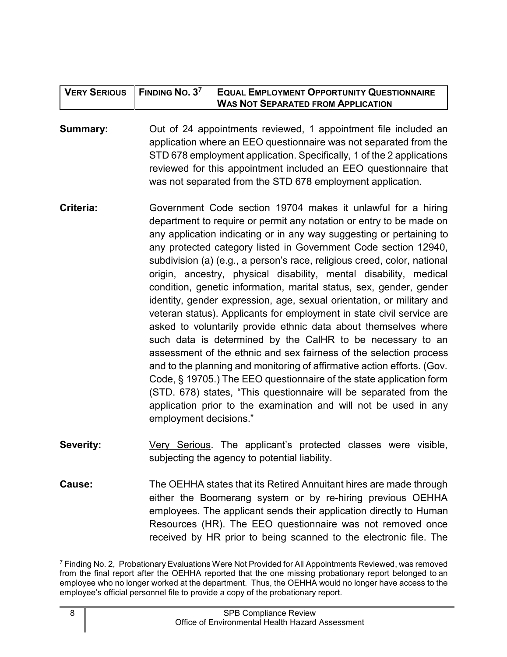| $'$ VERY SERIOUS $\,$   Finding No. 3 <sup>7</sup> | <b>EQUAL EMPLOYMENT OPPORTUNITY QUESTIONNAIRE</b> |
|----------------------------------------------------|---------------------------------------------------|
|                                                    | <b>WAS NOT SEPARATED FROM APPLICATION</b>         |

**Summary:** Out of 24 appointments reviewed, 1 appointment file included an application where an EEO questionnaire was not separated from the STD 678 employment application. Specifically, 1 of the 2 applications reviewed for this appointment included an EEO questionnaire that was not separated from the STD 678 employment application.

- **Criteria:** Government Code section 19704 makes it unlawful for a hiring department to require or permit any notation or entry to be made on any application indicating or in any way suggesting or pertaining to any protected category listed in Government Code section 12940, subdivision (a) (e.g., a person's race, religious creed, color, national origin, ancestry, physical disability, mental disability, medical condition, genetic information, marital status, sex, gender, gender identity, gender expression, age, sexual orientation, or military and veteran status). Applicants for employment in state civil service are asked to voluntarily provide ethnic data about themselves where such data is determined by the CalHR to be necessary to an assessment of the ethnic and sex fairness of the selection process and to the planning and monitoring of affirmative action efforts. (Gov. Code, § 19705.) The EEO questionnaire of the state application form (STD. 678) states, "This questionnaire will be separated from the application prior to the examination and will not be used in any employment decisions."
- **Severity:** Very Serious. The applicant's protected classes were visible, subjecting the agency to potential liability.
- **Cause:** The OEHHA states that its Retired Annuitant hires are made through either the Boomerang system or by re-hiring previous OEHHA employees. The applicant sends their application directly to Human Resources (HR). The EEO questionnaire was not removed once received by HR prior to being scanned to the electronic file. The

<span id="page-9-0"></span><sup>7</sup> Finding No. 2, Probationary Evaluations Were Not Provided for All Appointments Reviewed, was removed from the final report after the OEHHA reported that the one missing probationary report belonged to an employee who no longer worked at the department. Thus, the OEHHA would no longer have access to the employee's official personnel file to provide a copy of the probationary report.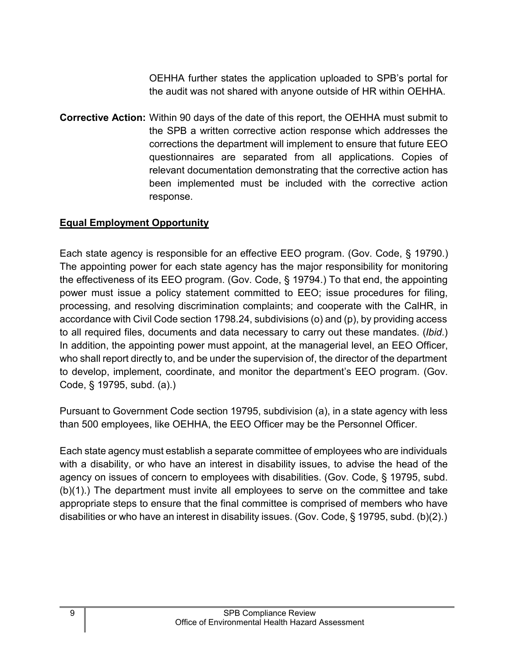OEHHA further states the application uploaded to SPB's portal for the audit was not shared with anyone outside of HR within OEHHA.

**Corrective Action:** Within 90 days of the date of this report, the OEHHA must submit to the SPB a written corrective action response which addresses the corrections the department will implement to ensure that future EEO questionnaires are separated from all applications. Copies of relevant documentation demonstrating that the corrective action has been implemented must be included with the corrective action response.

#### <span id="page-10-0"></span>**Equal Employment Opportunity**

Each state agency is responsible for an effective EEO program. (Gov. Code, § 19790.) The appointing power for each state agency has the major responsibility for monitoring the effectiveness of its EEO program. (Gov. Code, § 19794.) To that end, the appointing power must issue a policy statement committed to EEO; issue procedures for filing, processing, and resolving discrimination complaints; and cooperate with the CalHR, in accordance with Civil Code section 1798.24, subdivisions (o) and (p), by providing access to all required files, documents and data necessary to carry out these mandates. (*Ibid*.) In addition, the appointing power must appoint, at the managerial level, an EEO Officer, who shall report directly to, and be under the supervision of, the director of the department to develop, implement, coordinate, and monitor the department's EEO program. (Gov. Code, § 19795, subd. (a).)

Pursuant to Government Code section 19795, subdivision (a), in a state agency with less than 500 employees, like OEHHA, the EEO Officer may be the Personnel Officer.

Each state agency must establish a separate committee of employees who are individuals with a disability, or who have an interest in disability issues, to advise the head of the agency on issues of concern to employees with disabilities. (Gov. Code, § 19795, subd. (b)(1).) The department must invite all employees to serve on the committee and take appropriate steps to ensure that the final committee is comprised of members who have disabilities or who have an interest in disability issues. (Gov. Code, § 19795, subd. (b)(2).)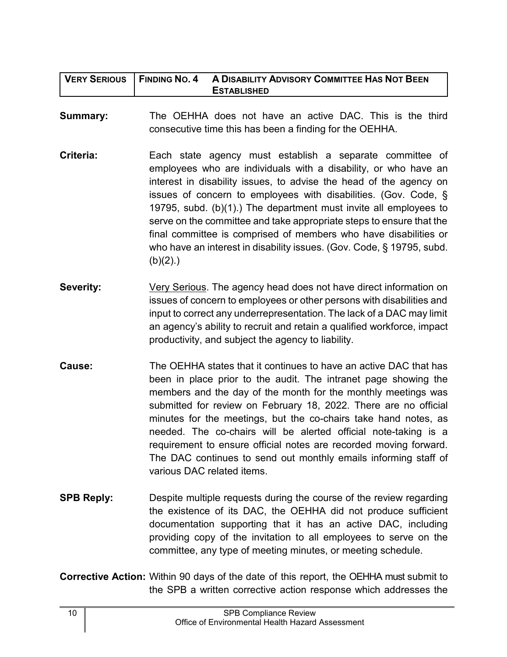| <b>VERY SERIOUS</b> | <b>FINDING NO. 4</b><br>A DISABILITY ADVISORY COMMITTEE HAS NOT BEEN<br><b>ESTABLISHED</b>                                                                                                                                                                                                                                                                                                                                                                                                                                                                                            |
|---------------------|---------------------------------------------------------------------------------------------------------------------------------------------------------------------------------------------------------------------------------------------------------------------------------------------------------------------------------------------------------------------------------------------------------------------------------------------------------------------------------------------------------------------------------------------------------------------------------------|
| <b>Summary:</b>     | The OEHHA does not have an active DAC. This is the third<br>consecutive time this has been a finding for the OEHHA.                                                                                                                                                                                                                                                                                                                                                                                                                                                                   |
| Criteria:           | Each state agency must establish a separate committee of<br>employees who are individuals with a disability, or who have an<br>interest in disability issues, to advise the head of the agency on<br>issues of concern to employees with disabilities. (Gov. Code, §<br>19795, subd. (b)(1).) The department must invite all employees to<br>serve on the committee and take appropriate steps to ensure that the<br>final committee is comprised of members who have disabilities or<br>who have an interest in disability issues. (Gov. Code, § 19795, subd.<br>(b)(2).             |
| <b>Severity:</b>    | Very Serious. The agency head does not have direct information on<br>issues of concern to employees or other persons with disabilities and<br>input to correct any underrepresentation. The lack of a DAC may limit<br>an agency's ability to recruit and retain a qualified workforce, impact<br>productivity, and subject the agency to liability.                                                                                                                                                                                                                                  |
| Cause:              | The OEHHA states that it continues to have an active DAC that has<br>been in place prior to the audit. The intranet page showing the<br>members and the day of the month for the monthly meetings was<br>submitted for review on February 18, 2022. There are no official<br>minutes for the meetings, but the co-chairs take hand notes, as<br>needed. The co-chairs will be alerted official note-taking is a<br>requirement to ensure official notes are recorded moving forward.<br>The DAC continues to send out monthly emails informing staff of<br>various DAC related items. |
| <b>SPB Reply:</b>   | Despite multiple requests during the course of the review regarding<br>the existence of its DAC, the OEHHA did not produce sufficient<br>documentation supporting that it has an active DAC, including                                                                                                                                                                                                                                                                                                                                                                                |

**Corrective Action:** Within 90 days of the date of this report, the OEHHA must submit to the SPB a written corrective action response which addresses the

providing copy of the invitation to all employees to serve on the

committee, any type of meeting minutes, or meeting schedule.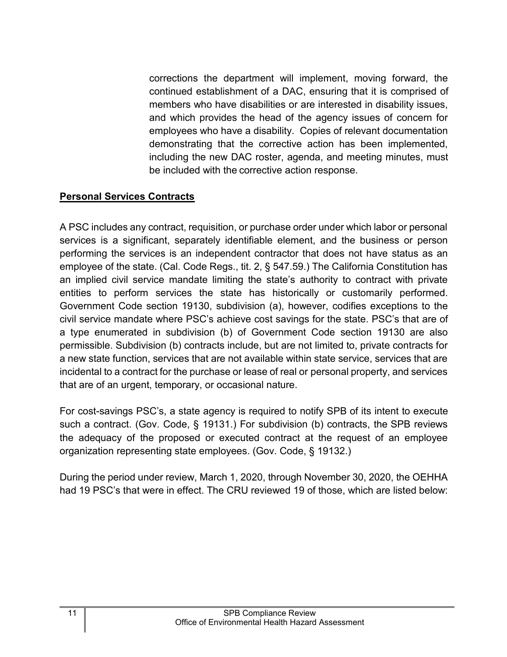corrections the department will implement, moving forward, the continued establishment of a DAC, ensuring that it is comprised of members who have disabilities or are interested in disability issues, and which provides the head of the agency issues of concern for employees who have a disability. Copies of relevant documentation demonstrating that the corrective action has been implemented, including the new DAC roster, agenda, and meeting minutes, must be included with the corrective action response.

## <span id="page-12-0"></span>**Personal Services Contracts**

A PSC includes any contract, requisition, or purchase order under which labor or personal services is a significant, separately identifiable element, and the business or person performing the services is an independent contractor that does not have status as an employee of the state. (Cal. Code Regs., tit. 2, § 547.59.) The California Constitution has an implied civil service mandate limiting the state's authority to contract with private entities to perform services the state has historically or customarily performed. Government Code section 19130, subdivision (a), however, codifies exceptions to the civil service mandate where PSC's achieve cost savings for the state. PSC's that are of a type enumerated in subdivision (b) of Government Code section 19130 are also permissible. Subdivision (b) contracts include, but are not limited to, private contracts for a new state function, services that are not available within state service, services that are incidental to a contract for the purchase or lease of real or personal property, and services that are of an urgent, temporary, or occasional nature.

For cost-savings PSC's, a state agency is required to notify SPB of its intent to execute such a contract. (Gov. Code, § 19131.) For subdivision (b) contracts, the SPB reviews the adequacy of the proposed or executed contract at the request of an employee organization representing state employees. (Gov. Code, § 19132.)

During the period under review, March 1, 2020, through November 30, 2020, the OEHHA had 19 PSC's that were in effect. The CRU reviewed 19 of those, which are listed below: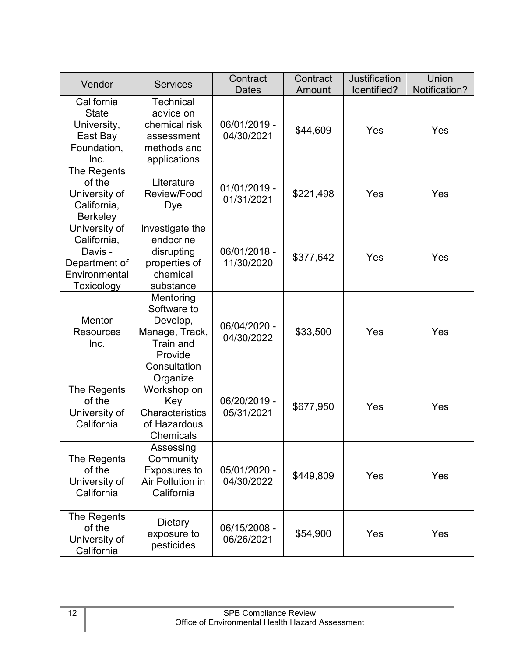| Vendor                                                                                  | <b>Services</b>                                                                                | Contract<br><b>Dates</b>   | Contract<br>Amount | <b>Justification</b><br>Identified? | <b>Union</b><br>Notification? |
|-----------------------------------------------------------------------------------------|------------------------------------------------------------------------------------------------|----------------------------|--------------------|-------------------------------------|-------------------------------|
| California<br><b>State</b><br>University,<br>East Bay<br>Foundation,<br>Inc.            | <b>Technical</b><br>advice on<br>chemical risk<br>assessment<br>methods and<br>applications    | 06/01/2019 -<br>04/30/2021 | \$44,609           | Yes                                 | Yes                           |
| The Regents<br>of the<br>University of<br>California,<br><b>Berkeley</b>                | Literature<br>Review/Food<br>Dye                                                               | 01/01/2019 -<br>01/31/2021 | \$221,498          | Yes                                 | Yes                           |
| University of<br>California,<br>Davis -<br>Department of<br>Environmental<br>Toxicology | Investigate the<br>endocrine<br>disrupting<br>properties of<br>chemical<br>substance           | 06/01/2018 -<br>11/30/2020 | \$377,642          | Yes                                 | Yes                           |
| <b>Mentor</b><br><b>Resources</b><br>Inc.                                               | Mentoring<br>Software to<br>Develop,<br>Manage, Track,<br>Train and<br>Provide<br>Consultation | 06/04/2020 -<br>04/30/2022 | \$33,500           | Yes                                 | Yes                           |
| The Regents<br>of the<br>University of<br>California                                    | Organize<br>Workshop on<br>Key<br>Characteristics<br>of Hazardous<br><b>Chemicals</b>          | 06/20/2019 -<br>05/31/2021 | \$677,950          | Yes                                 | Yes                           |
| The Regents<br>of the<br>University of<br>California                                    | Assessing<br>Community<br><b>Exposures to</b><br>Air Pollution in<br>California                | 05/01/2020 -<br>04/30/2022 | \$449,809          | Yes                                 | Yes                           |
| The Regents<br>of the<br>University of<br>California                                    | Dietary<br>exposure to<br>pesticides                                                           | 06/15/2008 -<br>06/26/2021 | \$54,900           | Yes                                 | Yes                           |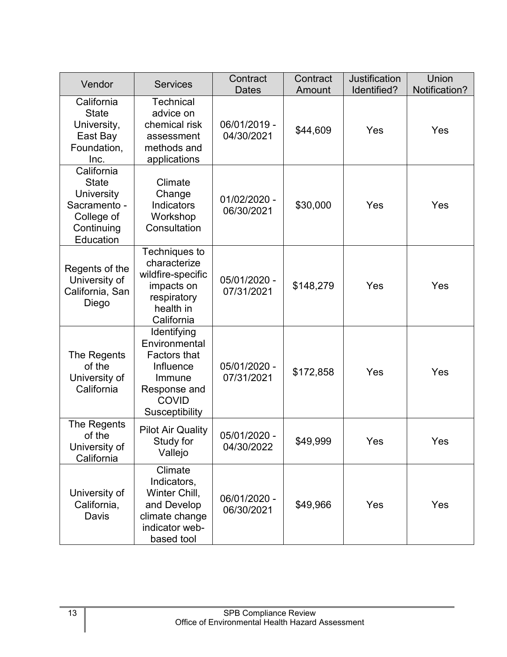| Vendor                                                                                            | <b>Services</b>                                                                                                              | Contract<br><b>Dates</b>     | Contract<br>Amount | <b>Justification</b><br>Identified? | <b>Union</b><br>Notification? |
|---------------------------------------------------------------------------------------------------|------------------------------------------------------------------------------------------------------------------------------|------------------------------|--------------------|-------------------------------------|-------------------------------|
| California<br><b>State</b><br>University,<br>East Bay<br>Foundation,<br>Inc.                      | <b>Technical</b><br>advice on<br>chemical risk<br>assessment<br>methods and<br>applications                                  | 06/01/2019 -<br>04/30/2021   | \$44,609           | Yes                                 | Yes                           |
| California<br><b>State</b><br>University<br>Sacramento -<br>College of<br>Continuing<br>Education | Climate<br>Change<br>Indicators<br>Workshop<br>Consultation                                                                  | $01/02/2020 -$<br>06/30/2021 | \$30,000           | Yes                                 | Yes                           |
| Regents of the<br>University of<br>California, San<br>Diego                                       | Techniques to<br>characterize<br>wildfire-specific<br>impacts on<br>respiratory<br>health in<br>California                   | 05/01/2020 -<br>07/31/2021   | \$148,279          | Yes                                 | Yes                           |
| The Regents<br>of the<br>University of<br>California                                              | Identifying<br>Environmental<br><b>Factors that</b><br>Influence<br>Immune<br>Response and<br><b>COVID</b><br>Susceptibility | 05/01/2020 -<br>07/31/2021   | \$172,858          | Yes                                 | Yes                           |
| The Regents<br>of the<br>University of<br>California                                              | <b>Pilot Air Quality</b><br>Study for<br>Vallejo                                                                             | 05/01/2020 -<br>04/30/2022   | \$49,999           | Yes                                 | Yes                           |
| University of<br>California,<br>Davis                                                             | Climate<br>Indicators,<br>Winter Chill,<br>and Develop<br>climate change<br>indicator web-<br>based tool                     | 06/01/2020 -<br>06/30/2021   | \$49,966           | Yes                                 | Yes                           |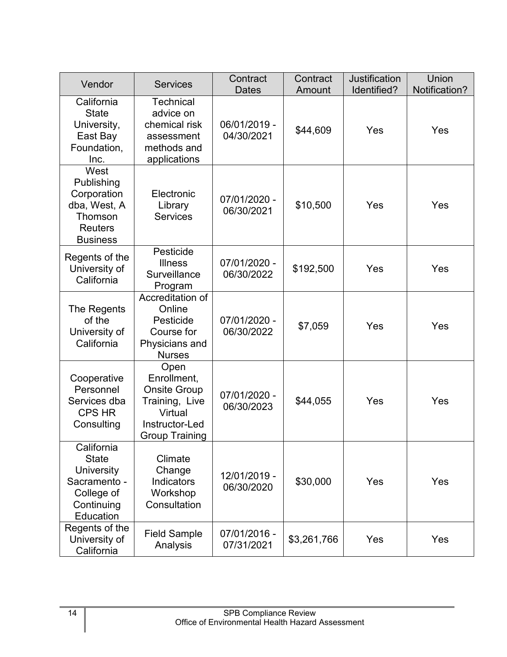| Vendor                                                                                                   | <b>Services</b>                                                                                                    | Contract<br><b>Dates</b>   | Contract<br>Amount | <b>Justification</b><br>Identified? | <b>Union</b><br>Notification? |
|----------------------------------------------------------------------------------------------------------|--------------------------------------------------------------------------------------------------------------------|----------------------------|--------------------|-------------------------------------|-------------------------------|
| California<br><b>State</b><br>University,<br>East Bay<br>Foundation,<br>Inc.                             | <b>Technical</b><br>advice on<br>chemical risk<br>assessment<br>methods and<br>applications                        | 06/01/2019 -<br>04/30/2021 | \$44,609           | Yes                                 | Yes                           |
| West<br>Publishing<br>Corporation<br>dba, West, A<br>Thomson<br><b>Reuters</b><br><b>Business</b>        | Electronic<br>Library<br><b>Services</b>                                                                           | 07/01/2020 -<br>06/30/2021 | \$10,500           | Yes                                 | Yes                           |
| Regents of the<br>University of<br>California                                                            | Pesticide<br><b>Illness</b><br>Surveillance<br>Program                                                             | 07/01/2020 -<br>06/30/2022 | \$192,500          | Yes                                 | Yes                           |
| The Regents<br>of the<br>University of<br>California                                                     | Accreditation of<br>Online<br>Pesticide<br>Course for<br>Physicians and<br><b>Nurses</b>                           | 07/01/2020 -<br>06/30/2022 | \$7,059            | Yes                                 | Yes                           |
| Cooperative<br>Personnel<br>Services dba<br><b>CPS HR</b><br>Consulting                                  | Open<br>Enrollment,<br><b>Onsite Group</b><br>Training, Live<br>Virtual<br>Instructor-Led<br><b>Group Training</b> | 07/01/2020 -<br>06/30/2023 | \$44,055           | Yes                                 | Yes                           |
| California<br><b>State</b><br><b>University</b><br>Sacramento -<br>College of<br>Continuing<br>Education | Climate<br>Change<br>Indicators<br>Workshop<br>Consultation                                                        | 12/01/2019 -<br>06/30/2020 | \$30,000           | Yes                                 | Yes                           |
| Regents of the<br>University of<br>California                                                            | <b>Field Sample</b><br>Analysis                                                                                    | 07/01/2016 -<br>07/31/2021 | \$3,261,766        | Yes                                 | Yes                           |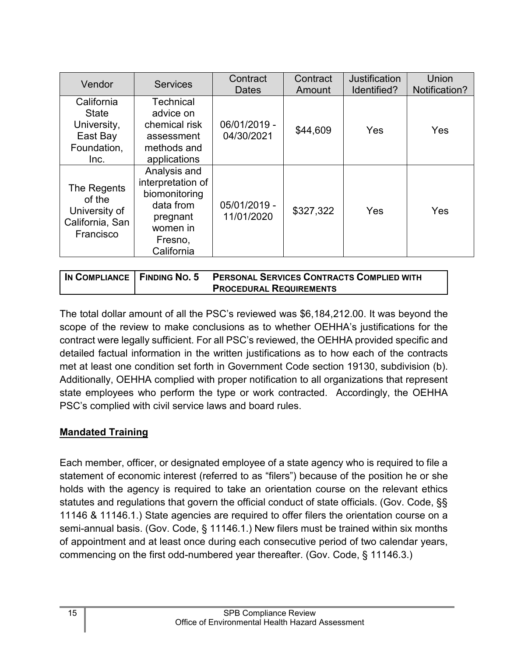| Vendor                                                                       | <b>Services</b>                                                                                                  | Contract<br><b>Dates</b>   | Contract<br>Amount | Justification<br>Identified? | <b>Union</b><br>Notification? |
|------------------------------------------------------------------------------|------------------------------------------------------------------------------------------------------------------|----------------------------|--------------------|------------------------------|-------------------------------|
| California<br><b>State</b><br>University,<br>East Bay<br>Foundation,<br>Inc. | <b>Technical</b><br>advice on<br>chemical risk<br>assessment<br>methods and<br>applications                      | 06/01/2019 -<br>04/30/2021 | \$44,609           | <b>Yes</b>                   | Yes                           |
| The Regents<br>of the<br>University of<br>California, San<br>Francisco       | Analysis and<br>interpretation of<br>biomonitoring<br>data from<br>pregnant<br>women in<br>Fresno,<br>California | 05/01/2019 -<br>11/01/2020 | \$327,322          | Yes                          | Yes                           |

| 'In COMPLIANCE   FINDING NO. 5 | <b>PERSONAL SERVICES CONTRACTS COMPLIED WITH</b> |
|--------------------------------|--------------------------------------------------|
|                                | <b>PROCEDURAL REQUIREMENTS</b>                   |

The total dollar amount of all the PSC's reviewed was \$6,184,212.00. It was beyond the scope of the review to make conclusions as to whether OEHHA's justifications for the contract were legally sufficient. For all PSC's reviewed, the OEHHA provided specific and detailed factual information in the written justifications as to how each of the contracts met at least one condition set forth in Government Code section 19130, subdivision (b). Additionally, OEHHA complied with proper notification to all organizations that represent state employees who perform the type or work contracted. Accordingly, the OEHHA PSC's complied with civil service laws and board rules.

## <span id="page-16-0"></span>**Mandated Training**

Each member, officer, or designated employee of a state agency who is required to file a statement of economic interest (referred to as "filers") because of the position he or she holds with the agency is required to take an orientation course on the relevant ethics statutes and regulations that govern the official conduct of state officials. (Gov. Code, §§ 11146 & 11146.1.) State agencies are required to offer filers the orientation course on a semi-annual basis. (Gov. Code, § 11146.1.) New filers must be trained within six months of appointment and at least once during each consecutive period of two calendar years, commencing on the first odd-numbered year thereafter. (Gov. Code, § 11146.3.)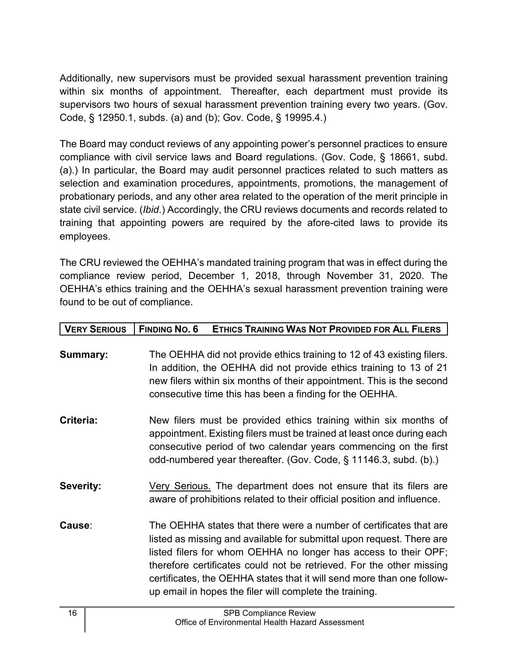Additionally, new supervisors must be provided sexual harassment prevention training within six months of appointment. Thereafter, each department must provide its supervisors two hours of sexual harassment prevention training every two years. (Gov. Code, § 12950.1, subds. (a) and (b); Gov. Code, § 19995.4.)

The Board may conduct reviews of any appointing power's personnel practices to ensure compliance with civil service laws and Board regulations. (Gov. Code, § 18661, subd. (a).) In particular, the Board may audit personnel practices related to such matters as selection and examination procedures, appointments, promotions, the management of probationary periods, and any other area related to the operation of the merit principle in state civil service. (*Ibid*.) Accordingly, the CRU reviews documents and records related to training that appointing powers are required by the afore-cited laws to provide its employees.

The CRU reviewed the OEHHA's mandated training program that was in effect during the compliance review period, December 1, 2018, through November 31, 2020. The OEHHA's ethics training and the OEHHA's sexual harassment prevention training were found to be out of compliance.

| <b>VERY SERIOUS</b> | <b>FINDING NO. 6</b><br>ETHICS TRAINING WAS NOT PROVIDED FOR ALL FILERS                                                                                                                                                                                                                                                                                                                                                     |
|---------------------|-----------------------------------------------------------------------------------------------------------------------------------------------------------------------------------------------------------------------------------------------------------------------------------------------------------------------------------------------------------------------------------------------------------------------------|
| <b>Summary:</b>     | The OEHHA did not provide ethics training to 12 of 43 existing filers.<br>In addition, the OEHHA did not provide ethics training to 13 of 21<br>new filers within six months of their appointment. This is the second<br>consecutive time this has been a finding for the OEHHA.                                                                                                                                            |
| Criteria:           | New filers must be provided ethics training within six months of<br>appointment. Existing filers must be trained at least once during each<br>consecutive period of two calendar years commencing on the first<br>odd-numbered year thereafter. (Gov. Code, § 11146.3, subd. (b).)                                                                                                                                          |
| <b>Severity:</b>    | Very Serious. The department does not ensure that its filers are<br>aware of prohibitions related to their official position and influence.                                                                                                                                                                                                                                                                                 |
| Cause:              | The OEHHA states that there were a number of certificates that are<br>listed as missing and available for submittal upon request. There are<br>listed filers for whom OEHHA no longer has access to their OPF;<br>therefore certificates could not be retrieved. For the other missing<br>certificates, the OEHHA states that it will send more than one follow-<br>up email in hopes the filer will complete the training. |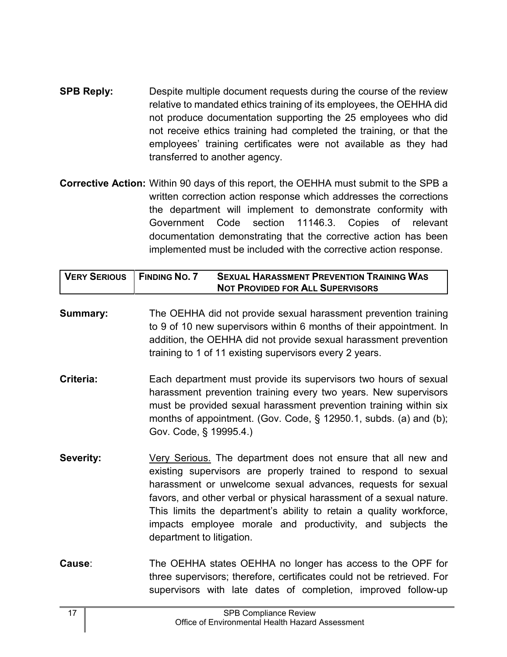- **SPB Reply:** Despite multiple document requests during the course of the review relative to mandated ethics training of its employees, the OEHHA did not produce documentation supporting the 25 employees who did not receive ethics training had completed the training, or that the employees' training certificates were not available as they had transferred to another agency.
- **Corrective Action:** Within 90 days of this report, the OEHHA must submit to the SPB a written correction action response which addresses the corrections the department will implement to demonstrate conformity with Government Code section 11146.3. Copies of relevant documentation demonstrating that the corrective action has been implemented must be included with the corrective action response.

| VERY SERIOUS   FINDING NO. 7 | <b>SEXUAL HARASSMENT PREVENTION TRAINING WAS</b> |
|------------------------------|--------------------------------------------------|
|                              | <b>NOT PROVIDED FOR ALL SUPERVISORS</b>          |

- **Summary:** The OEHHA did not provide sexual harassment prevention training to 9 of 10 new supervisors within 6 months of their appointment. In addition, the OEHHA did not provide sexual harassment prevention training to 1 of 11 existing supervisors every 2 years.
- **Criteria:** Each department must provide its supervisors two hours of sexual harassment prevention training every two years. New supervisors must be provided sexual harassment prevention training within six months of appointment. (Gov. Code, § 12950.1, subds. (a) and (b); Gov. Code, § 19995.4.)
- **Severity:** Very Serious. The department does not ensure that all new and existing supervisors are properly trained to respond to sexual harassment or unwelcome sexual advances, requests for sexual favors, and other verbal or physical harassment of a sexual nature. This limits the department's ability to retain a quality workforce, impacts employee morale and productivity, and subjects the department to litigation.
- **Cause**: The OEHHA states OEHHA no longer has access to the OPF for three supervisors; therefore, certificates could not be retrieved. For supervisors with late dates of completion, improved follow-up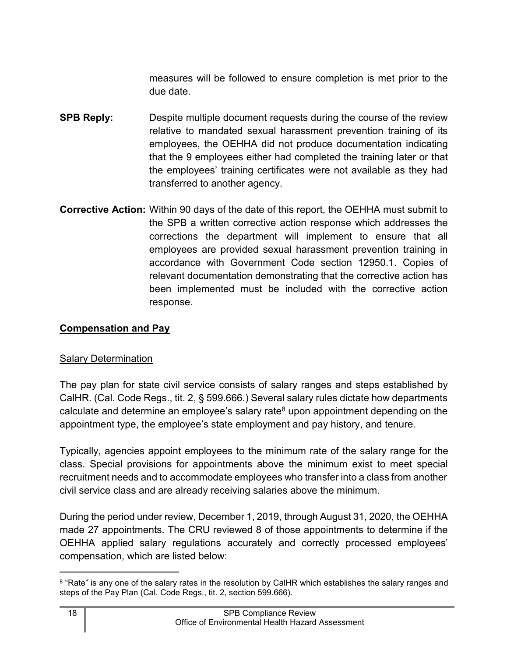measures will be followed to ensure completion is met prior to the due date.

- **SPB Reply:** Despite multiple document requests during the course of the review relative to mandated sexual harassment prevention training of its employees, the OEHHA did not produce documentation indicating that the 9 employees either had completed the training later or that the employees' training certificates were not available as they had transferred to another agency.
- **Corrective Action:** Within 90 days of the date of this report, the OEHHA must submit to the SPB a written corrective action response which addresses the corrections the department will implement to ensure that all employees are provided sexual harassment prevention training in accordance with Government Code section 12950.1. Copies of relevant documentation demonstrating that the corrective action has been implemented must be included with the corrective action response.

### <span id="page-19-0"></span>**Compensation and Pay**

#### Salary Determination

The pay plan for state civil service consists of salary ranges and steps established by CalHR. (Cal. Code Regs., tit. 2, § 599.666.) Several salary rules dictate how departments calculate and determine an employee's salary rate<sup>[8](#page-19-1)</sup> upon appointment depending on the appointment type, the employee's state employment and pay history, and tenure.

Typically, agencies appoint employees to the minimum rate of the salary range for the class. Special provisions for appointments above the minimum exist to meet special recruitment needs and to accommodate employees who transfer into a class from another civil service class and are already receiving salaries above the minimum.

During the period under review, December 1, 2019, through August 31, 2020, the OEHHA made 27 appointments. The CRU reviewed 8 of those appointments to determine if the OEHHA applied salary regulations accurately and correctly processed employees' compensation, which are listed below:

<span id="page-19-1"></span> $^8$  "Rate" is any one of the salary rates in the resolution by CalHR which establishes the salary ranges and steps of the Pay Plan (Cal. Code Regs., tit. 2, section 599.666).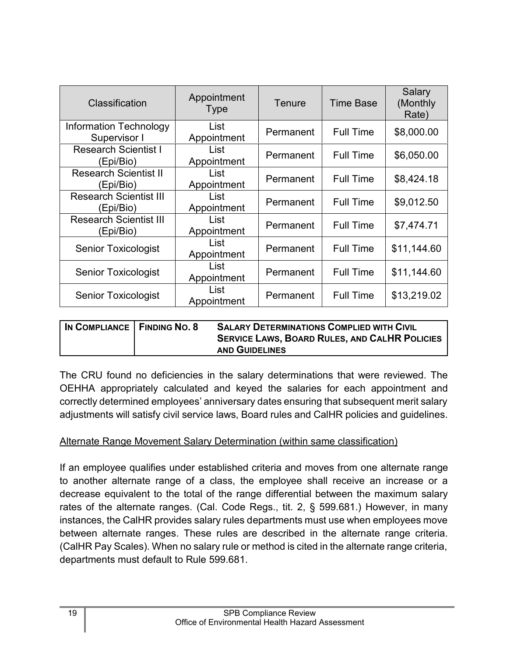| Classification                                | Appointment<br><b>Type</b> | Tenure    | <b>Time Base</b> | Salary<br>(Monthly)<br>Rate) |
|-----------------------------------------------|----------------------------|-----------|------------------|------------------------------|
| <b>Information Technology</b><br>Supervisor I | List<br>Appointment        | Permanent | <b>Full Time</b> | \$8,000.00                   |
| <b>Research Scientist I</b><br>(Epi/Bio)      | List<br>Appointment        | Permanent | <b>Full Time</b> | \$6,050.00                   |
| <b>Research Scientist II</b><br>(Epi/Bio)     | List<br>Appointment        | Permanent | <b>Full Time</b> | \$8,424.18                   |
| <b>Research Scientist III</b><br>(Epi/Bio)    | List<br>Appointment        | Permanent | <b>Full Time</b> | \$9,012.50                   |
| <b>Research Scientist III</b><br>(Epi/Bio)    | List<br>Appointment        | Permanent | <b>Full Time</b> | \$7,474.71                   |
| <b>Senior Toxicologist</b>                    | List<br>Appointment        | Permanent | <b>Full Time</b> | \$11,144.60                  |
| <b>Senior Toxicologist</b>                    | List<br>Appointment        | Permanent | <b>Full Time</b> | \$11,144.60                  |
| <b>Senior Toxicologist</b>                    | List<br>Appointment        | Permanent | <b>Full Time</b> | \$13,219.02                  |

| IN COMPLIANCE   FINDING NO. 8 | <b>SALARY DETERMINATIONS COMPLIED WITH CIVIL</b><br><b>SERVICE LAWS, BOARD RULES, AND CALHR POLICIES</b> |
|-------------------------------|----------------------------------------------------------------------------------------------------------|
|                               | <b>AND GUIDELINES</b>                                                                                    |

The CRU found no deficiencies in the salary determinations that were reviewed. The OEHHA appropriately calculated and keyed the salaries for each appointment and correctly determined employees' anniversary dates ensuring that subsequent merit salary adjustments will satisfy civil service laws, Board rules and CalHR policies and guidelines.

#### Alternate Range Movement Salary Determination (within same classification)

If an employee qualifies under established criteria and moves from one alternate range to another alternate range of a class, the employee shall receive an increase or a decrease equivalent to the total of the range differential between the maximum salary rates of the alternate ranges. (Cal. Code Regs., tit. 2, § 599.681.) However, in many instances, the CalHR provides salary rules departments must use when employees move between alternate ranges. These rules are described in the alternate range criteria. (CalHR Pay Scales). When no salary rule or method is cited in the alternate range criteria, departments must default to Rule 599.681.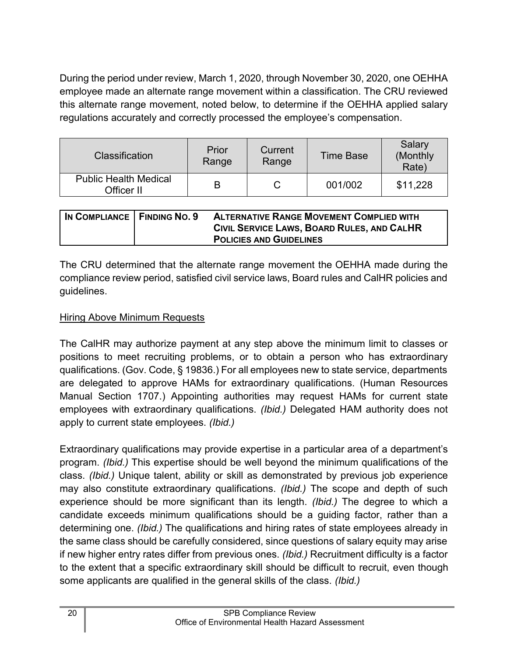During the period under review, March 1, 2020, through November 30, 2020, one OEHHA employee made an alternate range movement within a classification. The CRU reviewed this alternate range movement, noted below, to determine if the OEHHA applied salary regulations accurately and correctly processed the employee's compensation.

| Classification                             | Prior<br>Range | Current<br>Range | <b>Time Base</b> | Salary<br>(Monthly)<br>Rate) |
|--------------------------------------------|----------------|------------------|------------------|------------------------------|
| <b>Public Health Medical</b><br>Officer II | В              |                  | 001/002          | \$11,228                     |

| IN COMPLIANCE   FINDING NO. 9 | <b>ALTERNATIVE RANGE MOVEMENT COMPLIED WITH</b><br>CIVIL SERVICE LAWS, BOARD RULES, AND CALHR |
|-------------------------------|-----------------------------------------------------------------------------------------------|
|                               | <b>POLICIES AND GUIDELINES</b>                                                                |

The CRU determined that the alternate range movement the OEHHA made during the compliance review period, satisfied civil service laws, Board rules and CalHR policies and guidelines.

## **Hiring Above Minimum Requests**

The CalHR may authorize payment at any step above the minimum limit to classes or positions to meet recruiting problems, or to obtain a person who has extraordinary qualifications. (Gov. Code, § 19836.) For all employees new to state service, departments are delegated to approve HAMs for extraordinary qualifications. (Human Resources Manual Section 1707.) Appointing authorities may request HAMs for current state employees with extraordinary qualifications. *(Ibid.)* Delegated HAM authority does not apply to current state employees. *(Ibid.)*

Extraordinary qualifications may provide expertise in a particular area of a department's program. *(Ibid.)* This expertise should be well beyond the minimum qualifications of the class. *(Ibid.)* Unique talent, ability or skill as demonstrated by previous job experience may also constitute extraordinary qualifications. *(Ibid.)* The scope and depth of such experience should be more significant than its length. *(Ibid.)* The degree to which a candidate exceeds minimum qualifications should be a guiding factor, rather than a determining one. *(Ibid.)* The qualifications and hiring rates of state employees already in the same class should be carefully considered, since questions of salary equity may arise if new higher entry rates differ from previous ones. *(Ibid.)* Recruitment difficulty is a factor to the extent that a specific extraordinary skill should be difficult to recruit, even though some applicants are qualified in the general skills of the class. *(Ibid.)*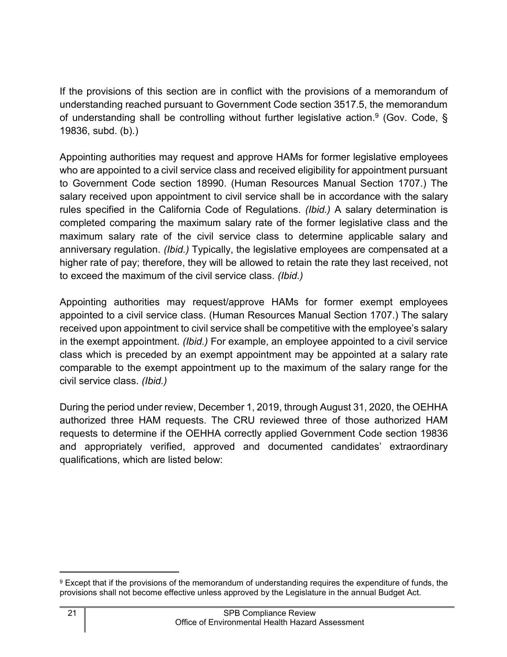If the provisions of this section are in conflict with the provisions of a memorandum of understanding reached pursuant to Government Code section 3517.5, the memorandum of understanding shall be controlling without further legislative action.<sup>[9](#page-22-0)</sup> (Gov. Code, § 19836, subd. (b).)

Appointing authorities may request and approve HAMs for former legislative employees who are appointed to a civil service class and received eligibility for appointment pursuant to Government Code section 18990. (Human Resources Manual Section 1707.) The salary received upon appointment to civil service shall be in accordance with the salary rules specified in the California Code of Regulations. *(Ibid.)* A salary determination is completed comparing the maximum salary rate of the former legislative class and the maximum salary rate of the civil service class to determine applicable salary and anniversary regulation. *(Ibid.)* Typically, the legislative employees are compensated at a higher rate of pay; therefore, they will be allowed to retain the rate they last received, not to exceed the maximum of the civil service class. *(Ibid.)*

Appointing authorities may request/approve HAMs for former exempt employees appointed to a civil service class. (Human Resources Manual Section 1707.) The salary received upon appointment to civil service shall be competitive with the employee's salary in the exempt appointment. *(Ibid.)* For example, an employee appointed to a civil service class which is preceded by an exempt appointment may be appointed at a salary rate comparable to the exempt appointment up to the maximum of the salary range for the civil service class. *(Ibid.)*

During the period under review, December 1, 2019, through August 31, 2020, the OEHHA authorized three HAM requests. The CRU reviewed three of those authorized HAM requests to determine if the OEHHA correctly applied Government Code section 19836 and appropriately verified, approved and documented candidates' extraordinary qualifications, which are listed below:

<span id="page-22-0"></span><sup>9</sup> Except that if the provisions of the memorandum of understanding requires the expenditure of funds, the provisions shall not become effective unless approved by the Legislature in the annual Budget Act.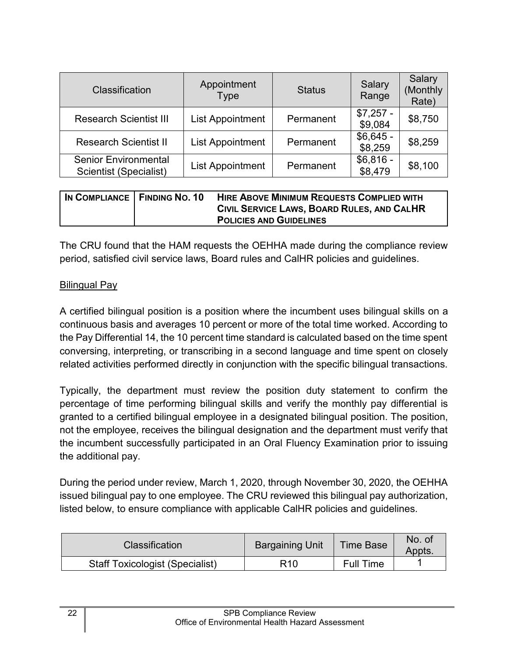| Classification                                        | Appointment<br><b>Type</b> | <b>Status</b> | Salary<br>Range       | Salary<br>(Monthly<br>Rate) |
|-------------------------------------------------------|----------------------------|---------------|-----------------------|-----------------------------|
| <b>Research Scientist III</b>                         | <b>List Appointment</b>    | Permanent     | $$7,257 -$<br>\$9,084 | \$8,750                     |
| <b>Research Scientist II</b>                          | <b>List Appointment</b>    | Permanent     | $$6,645 -$<br>\$8,259 | \$8,259                     |
| <b>Senior Environmental</b><br>Scientist (Specialist) | <b>List Appointment</b>    | Permanent     | $$6,816 -$<br>\$8,479 | \$8,100                     |

| IN COMPLIANCE   FINDING NO. 10 | <b>HIRE ABOVE MINIMUM REQUESTS COMPLIED WITH</b> |
|--------------------------------|--------------------------------------------------|
|                                | CIVIL SERVICE LAWS, BOARD RULES, AND CALHR       |
|                                | <b>POLICIES AND GUIDELINES</b>                   |

The CRU found that the HAM requests the OEHHA made during the compliance review period, satisfied civil service laws, Board rules and CalHR policies and guidelines.

#### **Bilingual Pay**

A certified bilingual position is a position where the incumbent uses bilingual skills on a continuous basis and averages 10 percent or more of the total time worked. According to the Pay Differential 14, the 10 percent time standard is calculated based on the time spent conversing, interpreting, or transcribing in a second language and time spent on closely related activities performed directly in conjunction with the specific bilingual transactions.

Typically, the department must review the position duty statement to confirm the percentage of time performing bilingual skills and verify the monthly pay differential is granted to a certified bilingual employee in a designated bilingual position. The position, not the employee, receives the bilingual designation and the department must verify that the incumbent successfully participated in an Oral Fluency Examination prior to issuing the additional pay.

During the period under review, March 1, 2020, through November 30, 2020, the OEHHA issued bilingual pay to one employee. The CRU reviewed this bilingual pay authorization, listed below, to ensure compliance with applicable CalHR policies and guidelines.

| <b>Classification</b>                  | <b>Bargaining Unit</b> | <b>Time Base</b> | No. of<br>Appts. |
|----------------------------------------|------------------------|------------------|------------------|
| <b>Staff Toxicologist (Specialist)</b> | R10                    | <b>Full Time</b> |                  |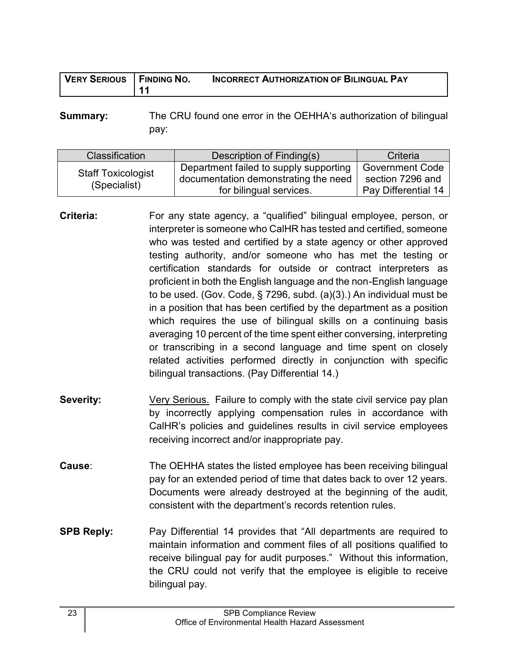| <b>VERY SERIOUS</b> | <b>FINDING NO.</b> | <b>INCORRECT AUTHORIZATION OF BILINGUAL PAY</b> |
|---------------------|--------------------|-------------------------------------------------|
|                     | . <i>A</i> 4       |                                                 |

**Summary:** The CRU found one error in the OEHHA's authorization of bilingual pay:

| Classification                            | Description of Finding(s)                                                                                 | Criteria                                                          |
|-------------------------------------------|-----------------------------------------------------------------------------------------------------------|-------------------------------------------------------------------|
| <b>Staff Toxicologist</b><br>(Specialist) | Department failed to supply supporting<br>documentation demonstrating the need<br>for bilingual services. | <b>Government Code</b><br>section 7296 and<br>Pay Differential 14 |

- **Criteria:** For any state agency, a "qualified" bilingual employee, person, or interpreter is someone who CalHR has tested and certified, someone who was tested and certified by a state agency or other approved testing authority, and/or someone who has met the testing or certification standards for outside or contract interpreters as proficient in both the English language and the non-English language to be used. (Gov. Code, § 7296, subd. (a)(3).) An individual must be in a position that has been certified by the department as a position which requires the use of bilingual skills on a continuing basis averaging 10 percent of the time spent either conversing, interpreting or transcribing in a second language and time spent on closely related activities performed directly in conjunction with specific bilingual transactions. (Pay Differential 14.)
- **Severity:** Very Serious. Failure to comply with the state civil service pay plan by incorrectly applying compensation rules in accordance with CalHR's policies and guidelines results in civil service employees receiving incorrect and/or inappropriate pay.
- **Cause:** The OEHHA states the listed employee has been receiving bilingual pay for an extended period of time that dates back to over 12 years. Documents were already destroyed at the beginning of the audit, consistent with the department's records retention rules.
- **SPB Reply:** Pay Differential 14 provides that "All departments are required to maintain information and comment files of all positions qualified to receive bilingual pay for audit purposes." Without this information, the CRU could not verify that the employee is eligible to receive bilingual pay.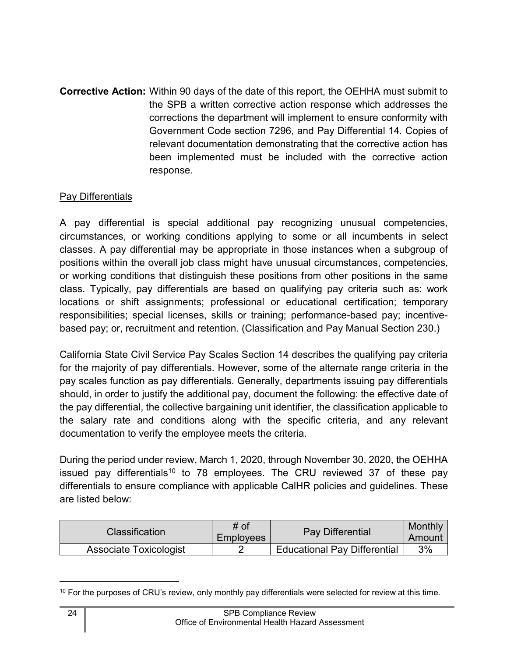**Corrective Action:** Within 90 days of the date of this report, the OEHHA must submit to the SPB a written corrective action response which addresses the corrections the department will implement to ensure conformity with Government Code section 7296, and Pay Differential 14*.* Copies of relevant documentation demonstrating that the corrective action has been implemented must be included with the corrective action response.

#### Pay Differentials

A pay differential is special additional pay recognizing unusual competencies, circumstances, or working conditions applying to some or all incumbents in select classes. A pay differential may be appropriate in those instances when a subgroup of positions within the overall job class might have unusual circumstances, competencies, or working conditions that distinguish these positions from other positions in the same class. Typically, pay differentials are based on qualifying pay criteria such as: work locations or shift assignments; professional or educational certification; temporary responsibilities; special licenses, skills or training; performance-based pay; incentivebased pay; or, recruitment and retention. (Classification and Pay Manual Section 230.)

California State Civil Service Pay Scales Section 14 describes the qualifying pay criteria for the majority of pay differentials. However, some of the alternate range criteria in the pay scales function as pay differentials. Generally, departments issuing pay differentials should, in order to justify the additional pay, document the following: the effective date of the pay differential, the collective bargaining unit identifier, the classification applicable to the salary rate and conditions along with the specific criteria, and any relevant documentation to verify the employee meets the criteria.

During the period under review, March 1, 2020, through November 30, 2020, the OEHHA issued pay differentials<sup>[10](#page-25-0)</sup> to 78 employees. The CRU reviewed 37 of these pay differentials to ensure compliance with applicable CalHR policies and guidelines. These are listed below:

| <b>Classification</b>  | # of<br>Employees | <b>Pay Differential</b>             | Monthly<br>Amount |
|------------------------|-------------------|-------------------------------------|-------------------|
| Associate Toxicologist |                   | <b>Educational Pay Differential</b> | 3%                |

<span id="page-25-0"></span><sup>&</sup>lt;sup>10</sup> For the purposes of CRU's review, only monthly pay differentials were selected for review at this time.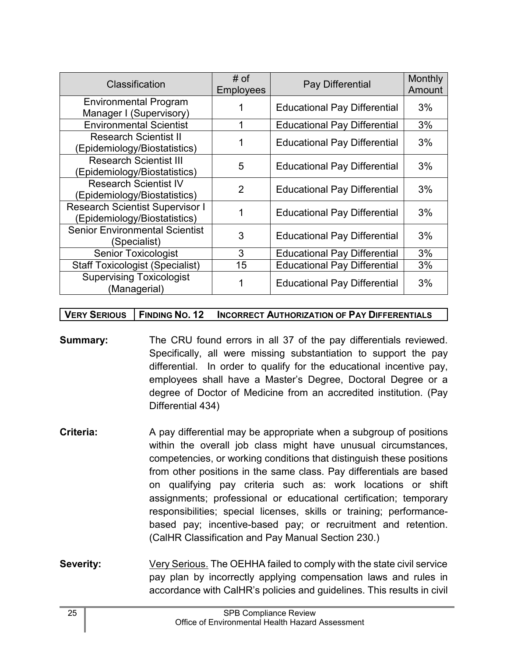| Classification                                                         | # of<br><b>Employees</b> | Pay Differential                    | Monthly<br>Amount |
|------------------------------------------------------------------------|--------------------------|-------------------------------------|-------------------|
| <b>Environmental Program</b><br>Manager I (Supervisory)                |                          | <b>Educational Pay Differential</b> | 3%                |
| <b>Environmental Scientist</b>                                         |                          | <b>Educational Pay Differential</b> | 3%                |
| <b>Research Scientist II</b><br>(Epidemiology/Biostatistics)           |                          | <b>Educational Pay Differential</b> | 3%                |
| <b>Research Scientist III</b><br>(Epidemiology/Biostatistics)          | 5                        | <b>Educational Pay Differential</b> | 3%                |
| <b>Research Scientist IV</b><br>(Epidemiology/Biostatistics)           | $\overline{2}$           | <b>Educational Pay Differential</b> | 3%                |
| <b>Research Scientist Supervisor I</b><br>(Epidemiology/Biostatistics) |                          | <b>Educational Pay Differential</b> | 3%                |
| <b>Senior Environmental Scientist</b><br>(Specialist)                  | 3                        | <b>Educational Pay Differential</b> | 3%                |
| <b>Senior Toxicologist</b>                                             | 3                        | <b>Educational Pay Differential</b> | 3%                |
| <b>Staff Toxicologist (Specialist)</b>                                 | 15                       | <b>Educational Pay Differential</b> | 3%                |
| <b>Supervising Toxicologist</b><br>(Managerial)                        |                          | <b>Educational Pay Differential</b> | 3%                |

#### **VERY SERIOUS FINDING NO. 12 INCORRECT AUTHORIZATION OF PAY DIFFERENTIALS**

- **Summary:** The CRU found errors in all 37 of the pay differentials reviewed. Specifically, all were missing substantiation to support the pay differential. In order to qualify for the educational incentive pay, employees shall have a Master's Degree, Doctoral Degree or a degree of Doctor of Medicine from an accredited institution. (Pay Differential 434)
- **Criteria:** A pay differential may be appropriate when a subgroup of positions within the overall job class might have unusual circumstances, competencies, or working conditions that distinguish these positions from other positions in the same class. Pay differentials are based on qualifying pay criteria such as: work locations or shift assignments; professional or educational certification; temporary responsibilities; special licenses, skills or training; performancebased pay; incentive-based pay; or recruitment and retention. (CalHR Classification and Pay Manual Section 230.)
- **Severity:** Very Serious. The OEHHA failed to comply with the state civil service pay plan by incorrectly applying compensation laws and rules in accordance with CalHR's policies and guidelines. This results in civil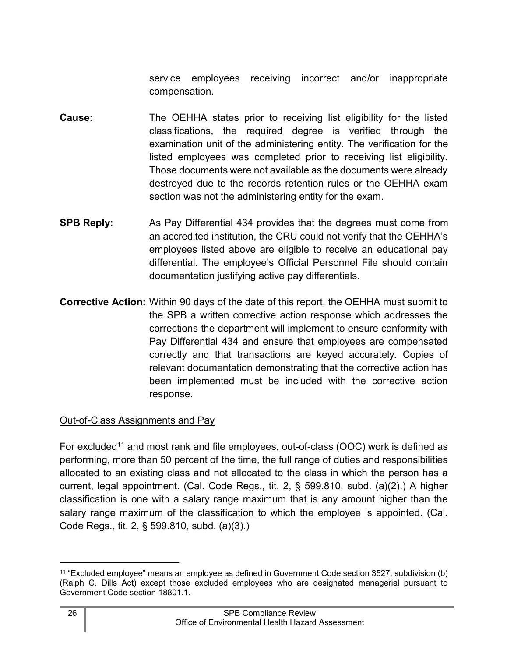service employees receiving incorrect and/or inappropriate compensation.

- **Cause:** The OEHHA states prior to receiving list eligibility for the listed classifications, the required degree is verified through the examination unit of the administering entity. The verification for the listed employees was completed prior to receiving list eligibility. Those documents were not available as the documents were already destroyed due to the records retention rules or the OEHHA exam section was not the administering entity for the exam.
- **SPB Reply:** As Pay Differential 434 provides that the degrees must come from an accredited institution, the CRU could not verify that the OEHHA's employees listed above are eligible to receive an educational pay differential. The employee's Official Personnel File should contain documentation justifying active pay differentials.
- **Corrective Action:** Within 90 days of the date of this report, the OEHHA must submit to the SPB a written corrective action response which addresses the corrections the department will implement to ensure conformity with Pay Differential 434 and ensure that employees are compensated correctly and that transactions are keyed accurately*.* Copies of relevant documentation demonstrating that the corrective action has been implemented must be included with the corrective action response.

#### Out-of-Class Assignments and Pay

For excluded<sup>[11](#page-27-0)</sup> and most rank and file employees, out-of-class (OOC) work is defined as performing, more than 50 percent of the time, the full range of duties and responsibilities allocated to an existing class and not allocated to the class in which the person has a current, legal appointment. (Cal. Code Regs., tit. 2, § 599.810, subd. (a)(2).) A higher classification is one with a salary range maximum that is any amount higher than the salary range maximum of the classification to which the employee is appointed. (Cal. Code Regs., tit. 2, § 599.810, subd. (a)(3).)

<span id="page-27-0"></span><sup>11</sup> "Excluded employee" means an employee as defined in Government Code section 3527, subdivision (b) (Ralph C. Dills Act) except those excluded employees who are designated managerial pursuant to Government Code section 18801.1.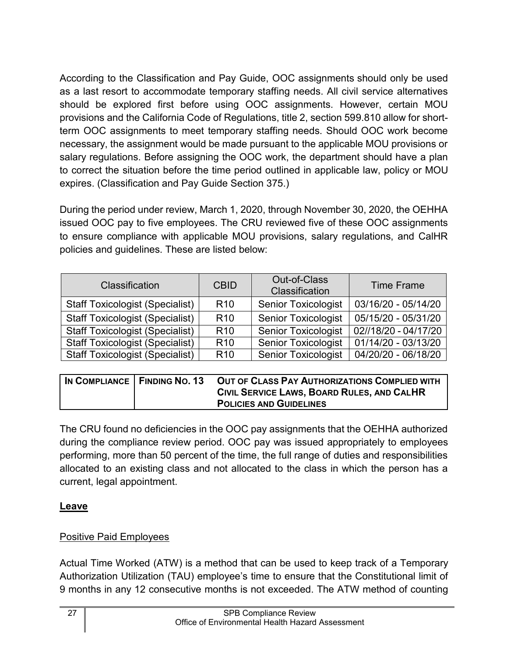According to the Classification and Pay Guide, OOC assignments should only be used as a last resort to accommodate temporary staffing needs. All civil service alternatives should be explored first before using OOC assignments. However, certain MOU provisions and the California Code of Regulations, title 2, section 599.810 allow for shortterm OOC assignments to meet temporary staffing needs. Should OOC work become necessary, the assignment would be made pursuant to the applicable MOU provisions or salary regulations. Before assigning the OOC work, the department should have a plan to correct the situation before the time period outlined in applicable law, policy or MOU expires. (Classification and Pay Guide Section 375.)

During the period under review, March 1, 2020, through November 30, 2020, the OEHHA issued OOC pay to five employees. The CRU reviewed five of these OOC assignments to ensure compliance with applicable MOU provisions, salary regulations, and CalHR policies and guidelines. These are listed below:

| Classification                         | <b>CBID</b>     | Out-of-Class<br>Classification | <b>Time Frame</b>    |
|----------------------------------------|-----------------|--------------------------------|----------------------|
| <b>Staff Toxicologist (Specialist)</b> | R <sub>10</sub> | <b>Senior Toxicologist</b>     | 03/16/20 - 05/14/20  |
| <b>Staff Toxicologist (Specialist)</b> | R <sub>10</sub> | <b>Senior Toxicologist</b>     | 05/15/20 - 05/31/20  |
| <b>Staff Toxicologist (Specialist)</b> | R <sub>10</sub> | <b>Senior Toxicologist</b>     | 02//18/20 - 04/17/20 |
| <b>Staff Toxicologist (Specialist)</b> | R <sub>10</sub> | <b>Senior Toxicologist</b>     | 01/14/20 - 03/13/20  |
| <b>Staff Toxicologist (Specialist)</b> | R <sub>10</sub> | <b>Senior Toxicologist</b>     | 04/20/20 - 06/18/20  |

| IN COMPLIANCE   FINDING NO. 13 | OUT OF CLASS PAY AUTHORIZATIONS COMPLIED WITH |
|--------------------------------|-----------------------------------------------|
|                                | CIVIL SERVICE LAWS, BOARD RULES, AND CALHR    |
|                                | <b>POLICIES AND GUIDELINES</b>                |

The CRU found no deficiencies in the OOC pay assignments that the OEHHA authorized during the compliance review period. OOC pay was issued appropriately to employees performing, more than 50 percent of the time, the full range of duties and responsibilities allocated to an existing class and not allocated to the class in which the person has a current, legal appointment.

## <span id="page-28-0"></span>**Leave**

## Positive Paid Employees

Actual Time Worked (ATW) is a method that can be used to keep track of a Temporary Authorization Utilization (TAU) employee's time to ensure that the Constitutional limit of 9 months in any 12 consecutive months is not exceeded. The ATW method of counting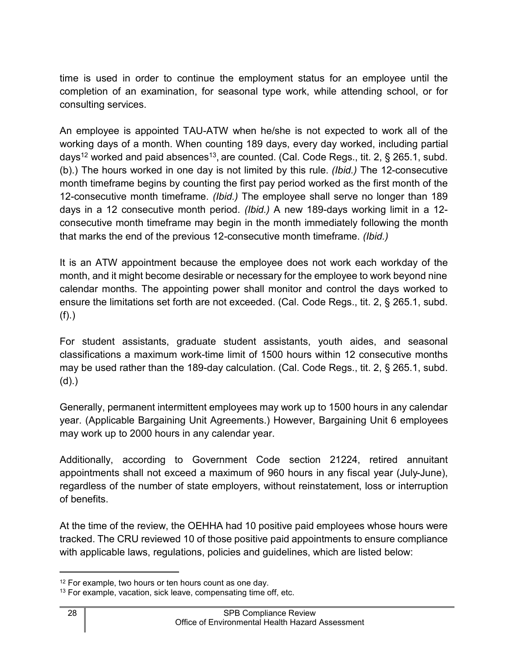time is used in order to continue the employment status for an employee until the completion of an examination, for seasonal type work, while attending school, or for consulting services.

An employee is appointed TAU-ATW when he/she is not expected to work all of the working days of a month. When counting 189 days, every day worked, including partial days<sup>[12](#page-29-0)</sup> worked and paid absences<sup>[13](#page-29-1)</sup>, are counted. (Cal. Code Regs., tit. 2, § 265.1, subd. (b).) The hours worked in one day is not limited by this rule. *(Ibid.)* The 12-consecutive month timeframe begins by counting the first pay period worked as the first month of the 12-consecutive month timeframe. *(Ibid.)* The employee shall serve no longer than 189 days in a 12 consecutive month period. *(Ibid.)* A new 189-days working limit in a 12 consecutive month timeframe may begin in the month immediately following the month that marks the end of the previous 12-consecutive month timeframe. *(Ibid.)*

It is an ATW appointment because the employee does not work each workday of the month, and it might become desirable or necessary for the employee to work beyond nine calendar months. The appointing power shall monitor and control the days worked to ensure the limitations set forth are not exceeded. (Cal. Code Regs., tit. 2, § 265.1, subd. (f).)

For student assistants, graduate student assistants, youth aides, and seasonal classifications a maximum work-time limit of 1500 hours within 12 consecutive months may be used rather than the 189-day calculation. (Cal. Code Regs., tit. 2, § 265.1, subd. (d).)

Generally, permanent intermittent employees may work up to 1500 hours in any calendar year. (Applicable Bargaining Unit Agreements.) However, Bargaining Unit 6 employees may work up to 2000 hours in any calendar year.

Additionally, according to Government Code section 21224, retired annuitant appointments shall not exceed a maximum of 960 hours in any fiscal year (July-June), regardless of the number of state employers, without reinstatement, loss or interruption of benefits.

At the time of the review, the OEHHA had 10 positive paid employees whose hours were tracked. The CRU reviewed 10 of those positive paid appointments to ensure compliance with applicable laws, regulations, policies and guidelines, which are listed below:

<span id="page-29-0"></span><sup>&</sup>lt;sup>12</sup> For example, two hours or ten hours count as one day.

<span id="page-29-1"></span><sup>&</sup>lt;sup>13</sup> For example, vacation, sick leave, compensating time off, etc.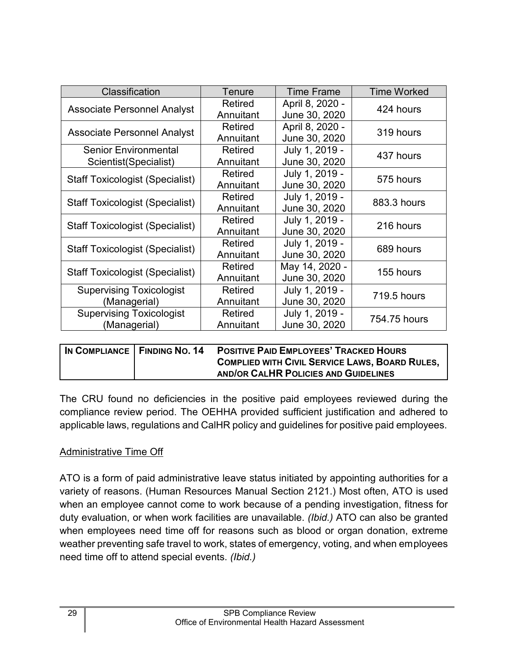| Classification                         | Tenure         | <b>Time Frame</b> | <b>Time Worked</b> |
|----------------------------------------|----------------|-------------------|--------------------|
|                                        | <b>Retired</b> | April 8, 2020 -   | 424 hours          |
| <b>Associate Personnel Analyst</b>     | Annuitant      | June 30, 2020     |                    |
| <b>Associate Personnel Analyst</b>     | <b>Retired</b> | April 8, 2020 -   | 319 hours          |
|                                        | Annuitant      | June 30, 2020     |                    |
| <b>Senior Environmental</b>            | Retired        | July 1, 2019 -    | 437 hours          |
| Scientist(Specialist)                  | Annuitant      | June 30, 2020     |                    |
| <b>Staff Toxicologist (Specialist)</b> | <b>Retired</b> | July 1, 2019 -    | 575 hours          |
|                                        | Annuitant      | June 30, 2020     |                    |
| <b>Staff Toxicologist (Specialist)</b> | Retired        | July 1, 2019 -    | 883.3 hours        |
|                                        | Annuitant      | June 30, 2020     |                    |
| Staff Toxicologist (Specialist)        | <b>Retired</b> | July 1, 2019 -    | 216 hours          |
|                                        | Annuitant      | June 30, 2020     |                    |
| <b>Staff Toxicologist (Specialist)</b> | Retired        | July 1, 2019 -    | 689 hours          |
|                                        | Annuitant      | June 30, 2020     |                    |
| Staff Toxicologist (Specialist)        | <b>Retired</b> | May 14, 2020 -    | 155 hours          |
|                                        | Annuitant      | June 30, 2020     |                    |
| <b>Supervising Toxicologist</b>        | Retired        | July 1, 2019 -    | 719.5 hours        |
| (Managerial)                           | Annuitant      | June 30, 2020     |                    |
| <b>Supervising Toxicologist</b>        | <b>Retired</b> | July 1, 2019 -    | 754.75 hours       |
| (Managerial)                           | Annuitant      | June 30, 2020     |                    |

| IN COMPLIANCE   FINDING NO. 14 | <b>POSITIVE PAID EMPLOYEES' TRACKED HOURS</b>         |
|--------------------------------|-------------------------------------------------------|
|                                | <b>COMPLIED WITH CIVIL SERVICE LAWS, BOARD RULES,</b> |
|                                | AND/OR CALHR POLICIES AND GUIDELINES                  |

The CRU found no deficiencies in the positive paid employees reviewed during the compliance review period. The OEHHA provided sufficient justification and adhered to applicable laws, regulations and CalHR policy and guidelines for positive paid employees.

#### Administrative Time Off

ATO is a form of paid administrative leave status initiated by appointing authorities for a variety of reasons. (Human Resources Manual Section 2121.) Most often, ATO is used when an employee cannot come to work because of a pending investigation, fitness for duty evaluation, or when work facilities are unavailable. *(Ibid.)* ATO can also be granted when employees need time off for reasons such as blood or organ donation, extreme weather preventing safe travel to work, states of emergency, voting, and when employees need time off to attend special events. *(Ibid.)*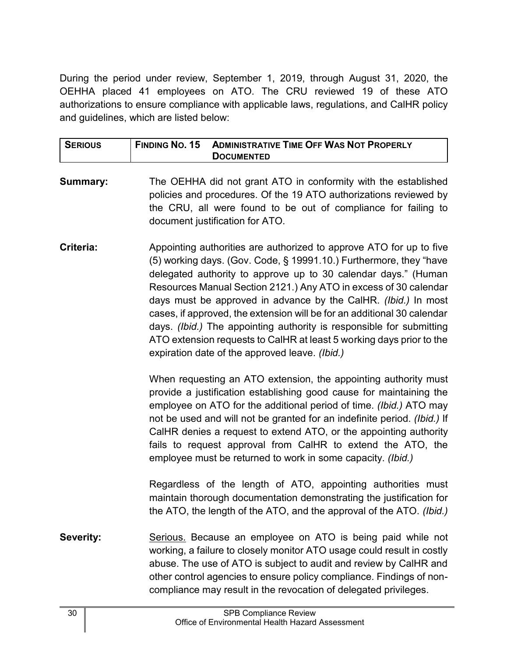During the period under review, September 1, 2019, through August 31, 2020, the OEHHA placed 41 employees on ATO. The CRU reviewed 19 of these ATO authorizations to ensure compliance with applicable laws, regulations, and CalHR policy and guidelines, which are listed below:

| <b>SERIOUS</b> | <b>FINDING NO. 15</b> | <b>ADMINISTRATIVE TIME OFF WAS NOT PROPERLY</b> |
|----------------|-----------------------|-------------------------------------------------|
|                |                       | <b>DOCUMENTED</b>                               |

- **Summary:** The OEHHA did not grant ATO in conformity with the established policies and procedures. Of the 19 ATO authorizations reviewed by the CRU, all were found to be out of compliance for failing to document justification for ATO.
- **Criteria:** Appointing authorities are authorized to approve ATO for up to five (5) working days. (Gov. Code, § 19991.10.) Furthermore, they "have delegated authority to approve up to 30 calendar days." (Human Resources Manual Section 2121.) Any ATO in excess of 30 calendar days must be approved in advance by the CalHR. *(Ibid.)* In most cases, if approved, the extension will be for an additional 30 calendar days. *(Ibid.)* The appointing authority is responsible for submitting ATO extension requests to CalHR at least 5 working days prior to the expiration date of the approved leave. *(Ibid.)*

When requesting an ATO extension, the appointing authority must provide a justification establishing good cause for maintaining the employee on ATO for the additional period of time. *(Ibid.)* ATO may not be used and will not be granted for an indefinite period. *(Ibid.)* If CalHR denies a request to extend ATO, or the appointing authority fails to request approval from CalHR to extend the ATO, the employee must be returned to work in some capacity. *(Ibid.)*

Regardless of the length of ATO, appointing authorities must maintain thorough documentation demonstrating the justification for the ATO, the length of the ATO, and the approval of the ATO. *(Ibid.)*

**Severity:** Serious. Because an employee on ATO is being paid while not working, a failure to closely monitor ATO usage could result in costly abuse. The use of ATO is subject to audit and review by CalHR and other control agencies to ensure policy compliance. Findings of noncompliance may result in the revocation of delegated privileges.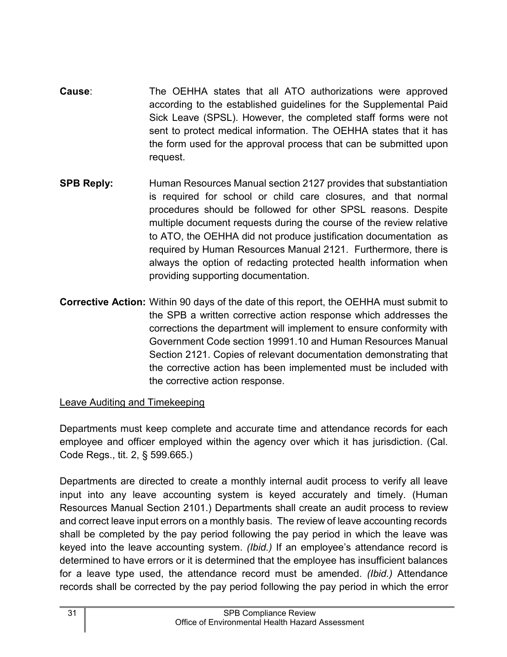- **Cause**: The OEHHA states that all ATO authorizations were approved according to the established guidelines for the Supplemental Paid Sick Leave (SPSL). However, the completed staff forms were not sent to protect medical information. The OEHHA states that it has the form used for the approval process that can be submitted upon request.
- **SPB Reply:** Human Resources Manual section 2127 provides that substantiation is required for school or child care closures, and that normal procedures should be followed for other SPSL reasons. Despite multiple document requests during the course of the review relative to ATO, the OEHHA did not produce justification documentation as required by Human Resources Manual 2121. Furthermore, there is always the option of redacting protected health information when providing supporting documentation.
- **Corrective Action:** Within 90 days of the date of this report, the OEHHA must submit to the SPB a written corrective action response which addresses the corrections the department will implement to ensure conformity with Government Code section 19991.10 and Human Resources Manual Section 2121. Copies of relevant documentation demonstrating that the corrective action has been implemented must be included with the corrective action response.

## Leave Auditing and Timekeeping

Departments must keep complete and accurate time and attendance records for each employee and officer employed within the agency over which it has jurisdiction. (Cal. Code Regs., tit. 2, § 599.665.)

Departments are directed to create a monthly internal audit process to verify all leave input into any leave accounting system is keyed accurately and timely. (Human Resources Manual Section 2101.) Departments shall create an audit process to review and correct leave input errors on a monthly basis. The review of leave accounting records shall be completed by the pay period following the pay period in which the leave was keyed into the leave accounting system. *(Ibid.)* If an employee's attendance record is determined to have errors or it is determined that the employee has insufficient balances for a leave type used, the attendance record must be amended. *(Ibid.)* Attendance records shall be corrected by the pay period following the pay period in which the error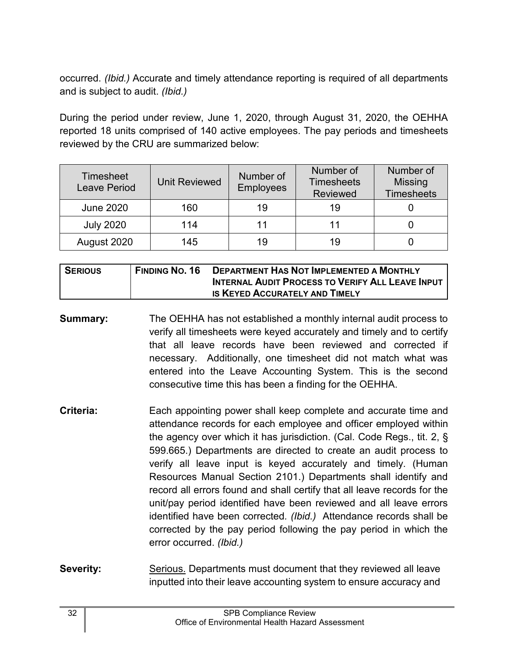occurred. *(Ibid.)* Accurate and timely attendance reporting is required of all departments and is subject to audit. *(Ibid.)*

During the period under review, June 1, 2020, through August 31, 2020, the OEHHA reported 18 units comprised of 140 active employees. The pay periods and timesheets reviewed by the CRU are summarized below:

| <b>Timesheet</b><br><b>Leave Period</b> | <b>Unit Reviewed</b> | Number of<br><b>Employees</b> | Number of<br><b>Timesheets</b><br><b>Reviewed</b> | Number of<br><b>Missing</b><br><b>Timesheets</b> |
|-----------------------------------------|----------------------|-------------------------------|---------------------------------------------------|--------------------------------------------------|
| <b>June 2020</b>                        | 160                  | 19                            | 19                                                |                                                  |
| <b>July 2020</b>                        | 114                  |                               |                                                   |                                                  |
| August 2020                             | 145                  | 19                            | 19                                                |                                                  |

| <b>SERIOUS</b> | <b>FINDING NO. 16</b> | <b>DEPARTMENT HAS NOT IMPLEMENTED A MONTHLY</b>         |
|----------------|-----------------------|---------------------------------------------------------|
|                |                       | <b>INTERNAL AUDIT PROCESS TO VERIFY ALL LEAVE INPUT</b> |
|                |                       | <b>IS KEYED ACCURATELY AND TIMELY</b>                   |

- **Summary:** The OEHHA has not established a monthly internal audit process to verify all timesheets were keyed accurately and timely and to certify that all leave records have been reviewed and corrected if necessary. Additionally, one timesheet did not match what was entered into the Leave Accounting System. This is the second consecutive time this has been a finding for the OEHHA.
- **Criteria:** Each appointing power shall keep complete and accurate time and attendance records for each employee and officer employed within the agency over which it has jurisdiction. (Cal. Code Regs., tit. 2, § 599.665.) Departments are directed to create an audit process to verify all leave input is keyed accurately and timely. (Human Resources Manual Section 2101.) Departments shall identify and record all errors found and shall certify that all leave records for the unit/pay period identified have been reviewed and all leave errors identified have been corrected*. (Ibid.)* Attendance records shall be corrected by the pay period following the pay period in which the error occurred. *(Ibid.)*
- **Severity:** Serious. Departments must document that they reviewed all leave inputted into their leave accounting system to ensure accuracy and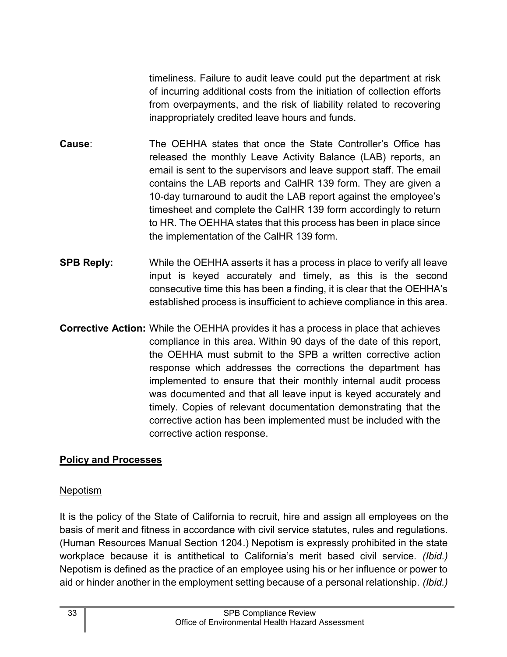timeliness. Failure to audit leave could put the department at risk of incurring additional costs from the initiation of collection efforts from overpayments, and the risk of liability related to recovering inappropriately credited leave hours and funds.

- **Cause**: The OEHHA states that once the State Controller's Office has released the monthly Leave Activity Balance (LAB) reports, an email is sent to the supervisors and leave support staff. The email contains the LAB reports and CalHR 139 form. They are given a 10-day turnaround to audit the LAB report against the employee's timesheet and complete the CalHR 139 form accordingly to return to HR. The OEHHA states that this process has been in place since the implementation of the CalHR 139 form.
- **SPB Reply:** While the OEHHA asserts it has a process in place to verify all leave input is keyed accurately and timely, as this is the second consecutive time this has been a finding, it is clear that the OEHHA's established process is insufficient to achieve compliance in this area.
- **Corrective Action:** While the OEHHA provides it has a process in place that achieves compliance in this area. Within 90 days of the date of this report, the OEHHA must submit to the SPB a written corrective action response which addresses the corrections the department has implemented to ensure that their monthly internal audit process was documented and that all leave input is keyed accurately and timely. Copies of relevant documentation demonstrating that the corrective action has been implemented must be included with the corrective action response.

#### <span id="page-34-0"></span>**Policy and Processes**

#### Nepotism

It is the policy of the State of California to recruit, hire and assign all employees on the basis of merit and fitness in accordance with civil service statutes, rules and regulations. (Human Resources Manual Section 1204.) Nepotism is expressly prohibited in the state workplace because it is antithetical to California's merit based civil service. *(Ibid.)* Nepotism is defined as the practice of an employee using his or her influence or power to aid or hinder another in the employment setting because of a personal relationship. *(Ibid.)*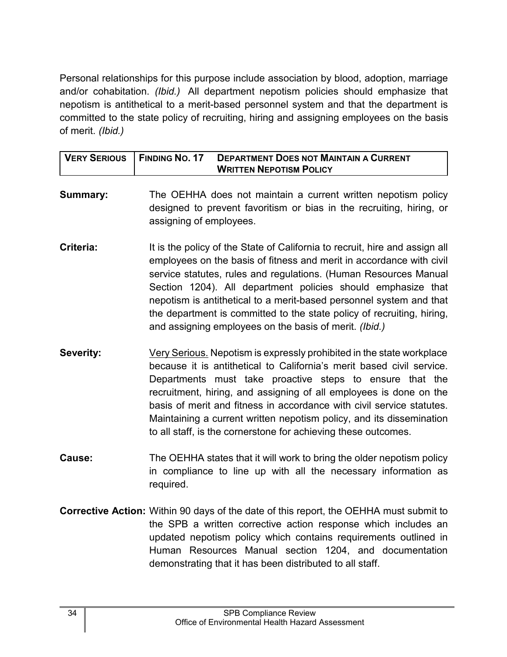Personal relationships for this purpose include association by blood, adoption, marriage and/or cohabitation. *(Ibid.)* All department nepotism policies should emphasize that nepotism is antithetical to a merit-based personnel system and that the department is committed to the state policy of recruiting, hiring and assigning employees on the basis of merit. *(Ibid.)*

| VERY SERIOUS   FINDING NO. 17 | <b>DEPARTMENT DOES NOT MAINTAIN A CURRENT</b><br><b>WRITTEN NEPOTISM POLICY</b> |
|-------------------------------|---------------------------------------------------------------------------------|
|                               |                                                                                 |

- **Summary:** The OEHHA does not maintain a current written nepotism policy designed to prevent favoritism or bias in the recruiting, hiring, or assigning of employees.
- **Criteria:** It is the policy of the State of California to recruit, hire and assign all employees on the basis of fitness and merit in accordance with civil service statutes, rules and regulations. (Human Resources Manual Section 1204). All department policies should emphasize that nepotism is antithetical to a merit-based personnel system and that the department is committed to the state policy of recruiting, hiring, and assigning employees on the basis of merit. *(Ibid.)*
- **Severity:** Very Serious. Nepotism is expressly prohibited in the state workplace because it is antithetical to California's merit based civil service. Departments must take proactive steps to ensure that the recruitment, hiring, and assigning of all employees is done on the basis of merit and fitness in accordance with civil service statutes. Maintaining a current written nepotism policy, and its dissemination to all staff, is the cornerstone for achieving these outcomes.
- **Cause:** The OEHHA states that it will work to bring the older nepotism policy in compliance to line up with all the necessary information as required.
- **Corrective Action:** Within 90 days of the date of this report, the OEHHA must submit to the SPB a written corrective action response which includes an updated nepotism policy which contains requirements outlined in Human Resources Manual section 1204, and documentation demonstrating that it has been distributed to all staff.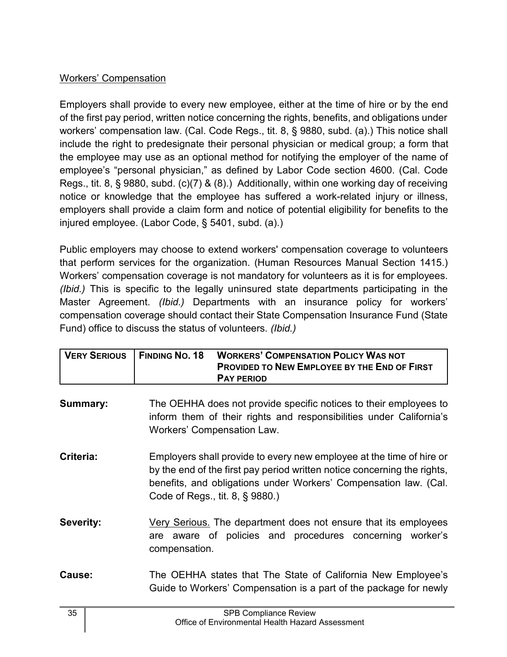## Workers' Compensation

Employers shall provide to every new employee, either at the time of hire or by the end of the first pay period, written notice concerning the rights, benefits, and obligations under workers' compensation law. (Cal. Code Regs., tit. 8, § 9880, subd. (a).) This notice shall include the right to predesignate their personal physician or medical group; a form that the employee may use as an optional method for notifying the employer of the name of employee's "personal physician," as defined by Labor Code section 4600. (Cal. Code Regs., tit. 8, § 9880, subd. (c)(7) & (8).) Additionally, within one working day of receiving notice or knowledge that the employee has suffered a work-related injury or illness, employers shall provide a claim form and notice of potential eligibility for benefits to the injured employee. (Labor Code, § 5401, subd. (a).)

Public employers may choose to extend workers' compensation coverage to volunteers that perform services for the organization. (Human Resources Manual Section 1415.) Workers' compensation coverage is not mandatory for volunteers as it is for employees. *(Ibid.)* This is specific to the legally uninsured state departments participating in the Master Agreement. *(Ibid.)* Departments with an insurance policy for workers' compensation coverage should contact their State Compensation Insurance Fund (State Fund) office to discuss the status of volunteers. *(Ibid.)*

| VERY SERIOUS   FINDING NO. 18 | <b>WORKERS' COMPENSATION POLICY WAS NOT</b><br><b>PROVIDED TO NEW EMPLOYEE BY THE END OF FIRST</b><br><b>PAY PERIOD</b> |
|-------------------------------|-------------------------------------------------------------------------------------------------------------------------|
|                               |                                                                                                                         |

**Summary:** The OEHHA does not provide specific notices to their employees to inform them of their rights and responsibilities under California's Workers' Compensation Law.

**Criteria:** Employers shall provide to every new employee at the time of hire or by the end of the first pay period written notice concerning the rights, benefits, and obligations under Workers' Compensation law. (Cal. Code of Regs., tit. 8, § 9880.)

- **Severity:** Very Serious. The department does not ensure that its employees are aware of policies and procedures concerning worker's compensation.
- **Cause:** The OEHHA states that The State of California New Employee's Guide to Workers' Compensation is a part of the package for newly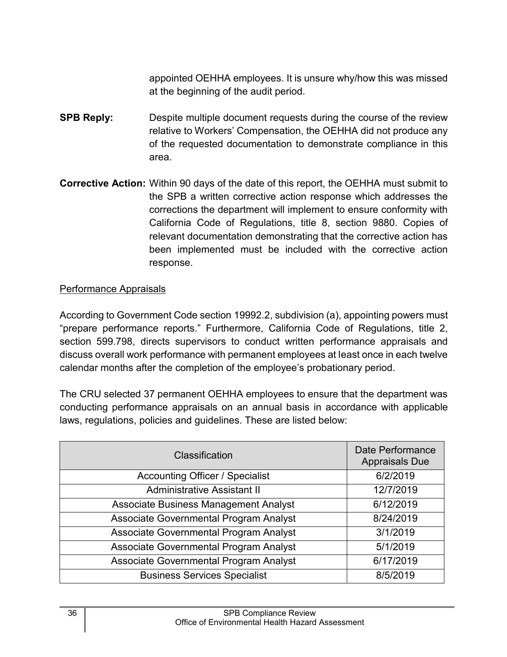appointed OEHHA employees. It is unsure why/how this was missed at the beginning of the audit period.

- **SPB Reply:** Despite multiple document requests during the course of the review relative to Workers' Compensation, the OEHHA did not produce any of the requested documentation to demonstrate compliance in this area.
- **Corrective Action:** Within 90 days of the date of this report, the OEHHA must submit to the SPB a written corrective action response which addresses the corrections the department will implement to ensure conformity with California Code of Regulations, title 8, section 9880. Copies of relevant documentation demonstrating that the corrective action has been implemented must be included with the corrective action response.

#### Performance Appraisals

According to Government Code section 19992.2, subdivision (a), appointing powers must "prepare performance reports." Furthermore, California Code of Regulations, title 2, section 599.798, directs supervisors to conduct written performance appraisals and discuss overall work performance with permanent employees at least once in each twelve calendar months after the completion of the employee's probationary period.

The CRU selected 37 permanent OEHHA employees to ensure that the department was conducting performance appraisals on an annual basis in accordance with applicable laws, regulations, policies and guidelines. These are listed below:

| Classification                         | <b>Date Performance</b><br><b>Appraisals Due</b> |
|----------------------------------------|--------------------------------------------------|
| <b>Accounting Officer / Specialist</b> | 6/2/2019                                         |
| <b>Administrative Assistant II</b>     | 12/7/2019                                        |
| Associate Business Management Analyst  | 6/12/2019                                        |
| Associate Governmental Program Analyst | 8/24/2019                                        |
| Associate Governmental Program Analyst | 3/1/2019                                         |
| Associate Governmental Program Analyst | 5/1/2019                                         |
| Associate Governmental Program Analyst | 6/17/2019                                        |
| <b>Business Services Specialist</b>    | 8/5/2019                                         |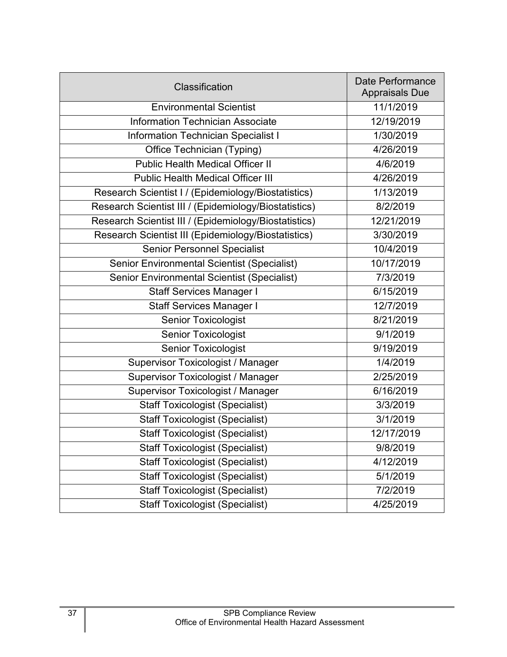| Classification                                        | Date Performance<br><b>Appraisals Due</b> |
|-------------------------------------------------------|-------------------------------------------|
| <b>Environmental Scientist</b>                        | 11/1/2019                                 |
| <b>Information Technician Associate</b>               | 12/19/2019                                |
| <b>Information Technician Specialist I</b>            | 1/30/2019                                 |
| Office Technician (Typing)                            | 4/26/2019                                 |
| <b>Public Health Medical Officer II</b>               | 4/6/2019                                  |
| <b>Public Health Medical Officer III</b>              | 4/26/2019                                 |
| Research Scientist I / (Epidemiology/Biostatistics)   | 1/13/2019                                 |
| Research Scientist III / (Epidemiology/Biostatistics) | 8/2/2019                                  |
| Research Scientist III / (Epidemiology/Biostatistics) | 12/21/2019                                |
| Research Scientist III (Epidemiology/Biostatistics)   | 3/30/2019                                 |
| <b>Senior Personnel Specialist</b>                    | 10/4/2019                                 |
| <b>Senior Environmental Scientist (Specialist)</b>    | 10/17/2019                                |
| <b>Senior Environmental Scientist (Specialist)</b>    | 7/3/2019                                  |
| <b>Staff Services Manager I</b>                       | 6/15/2019                                 |
| <b>Staff Services Manager I</b>                       | 12/7/2019                                 |
| <b>Senior Toxicologist</b>                            | 8/21/2019                                 |
| <b>Senior Toxicologist</b>                            | 9/1/2019                                  |
| <b>Senior Toxicologist</b>                            | 9/19/2019                                 |
| <b>Supervisor Toxicologist / Manager</b>              | 1/4/2019                                  |
| <b>Supervisor Toxicologist / Manager</b>              | 2/25/2019                                 |
| Supervisor Toxicologist / Manager                     | 6/16/2019                                 |
| <b>Staff Toxicologist (Specialist)</b>                | 3/3/2019                                  |
| <b>Staff Toxicologist (Specialist)</b>                | 3/1/2019                                  |
| <b>Staff Toxicologist (Specialist)</b>                | 12/17/2019                                |
| <b>Staff Toxicologist (Specialist)</b>                | 9/8/2019                                  |
| <b>Staff Toxicologist (Specialist)</b>                | 4/12/2019                                 |
| <b>Staff Toxicologist (Specialist)</b>                | 5/1/2019                                  |
| <b>Staff Toxicologist (Specialist)</b>                | 7/2/2019                                  |
| <b>Staff Toxicologist (Specialist)</b>                | 4/25/2019                                 |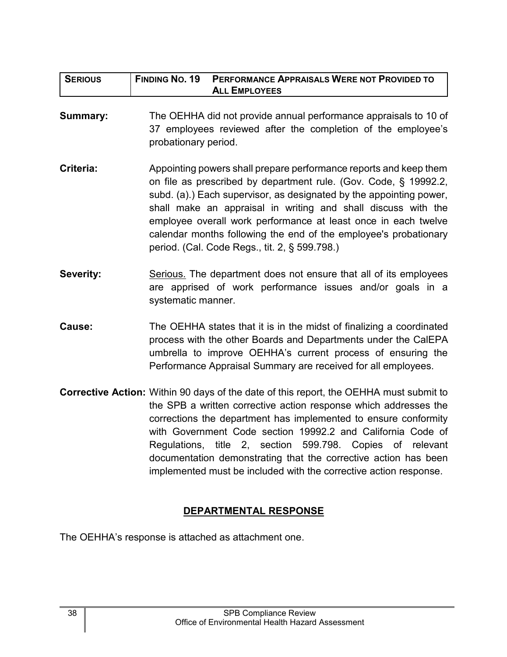| <b>SERIOUS</b>   | <b>FINDING NO. 19</b><br>PERFORMANCE APPRAISALS WERE NOT PROVIDED TO<br><b>ALL EMPLOYEES</b>                                                                                                                                                                                                                                                                                                                                                                                                             |
|------------------|----------------------------------------------------------------------------------------------------------------------------------------------------------------------------------------------------------------------------------------------------------------------------------------------------------------------------------------------------------------------------------------------------------------------------------------------------------------------------------------------------------|
| <b>Summary:</b>  | The OEHHA did not provide annual performance appraisals to 10 of<br>37 employees reviewed after the completion of the employee's<br>probationary period.                                                                                                                                                                                                                                                                                                                                                 |
| Criteria:        | Appointing powers shall prepare performance reports and keep them<br>on file as prescribed by department rule. (Gov. Code, § 19992.2,<br>subd. (a).) Each supervisor, as designated by the appointing power,<br>shall make an appraisal in writing and shall discuss with the<br>employee overall work performance at least once in each twelve<br>calendar months following the end of the employee's probationary<br>period. (Cal. Code Regs., tit. 2, § 599.798.)                                     |
| <b>Severity:</b> | Serious. The department does not ensure that all of its employees<br>are apprised of work performance issues and/or goals in a<br>systematic manner.                                                                                                                                                                                                                                                                                                                                                     |
| Cause:           | The OEHHA states that it is in the midst of finalizing a coordinated<br>process with the other Boards and Departments under the CalEPA<br>umbrella to improve OEHHA's current process of ensuring the<br>Performance Appraisal Summary are received for all employees.                                                                                                                                                                                                                                   |
|                  | <b>Corrective Action:</b> Within 90 days of the date of this report, the OEHHA must submit to<br>the SPB a written corrective action response which addresses the<br>corrections the department has implemented to ensure conformity<br>with Government Code section 19992.2 and California Code of<br>Regulations, title 2, section 599.798. Copies of relevant<br>documentation demonstrating that the corrective action has been<br>implemented must be included with the corrective action response. |

## **DEPARTMENTAL RESPONSE**

<span id="page-39-0"></span>The OEHHA's response is attached as attachment one.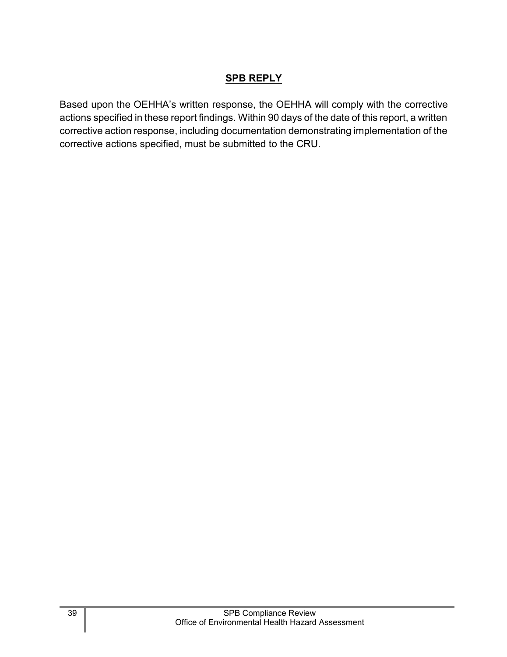## **SPB REPLY**

<span id="page-40-0"></span>Based upon the OEHHA's written response, the OEHHA will comply with the corrective actions specified in these report findings. Within 90 days of the date of this report, a written corrective action response, including documentation demonstrating implementation of the corrective actions specified, must be submitted to the CRU.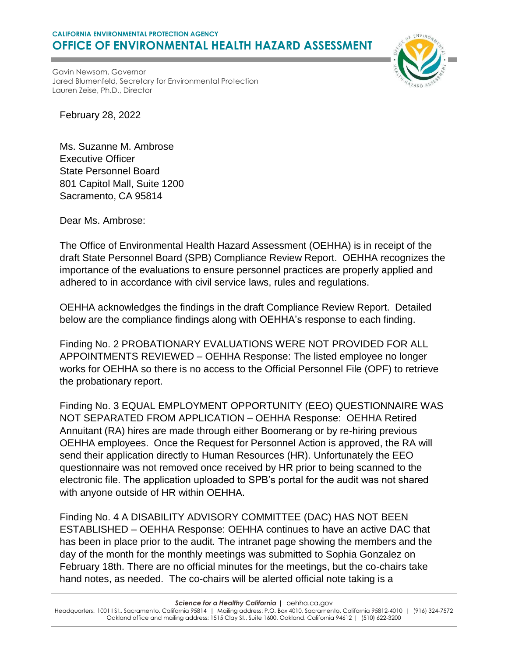#### **CALIFORNIA ENVIRONMENTAL PROTECTION AGENCY OFFICE OF ENVIRONMENTAL HEALTH HAZARD ASSESSMENT**



Gavin Newsom, Governor Jared Blumenfeld, Secretary for Environmental Protection Lauren Zeise, Ph.D., Director

February 28, 2022

Ms. Suzanne M. Ambrose Executive Officer State Personnel Board 801 Capitol Mall, Suite 1200 Sacramento, CA 95814

Dear Ms. Ambrose:

The Office of Environmental Health Hazard Assessment (OEHHA) is in receipt of the draft State Personnel Board (SPB) Compliance Review Report. OEHHA recognizes the importance of the evaluations to ensure personnel practices are properly applied and adhered to in accordance with civil service laws, rules and regulations.

OEHHA acknowledges the findings in the draft Compliance Review Report. Detailed below are the compliance findings along with OEHHA's response to each finding.

Finding No. 2 PROBATIONARY EVALUATIONS WERE NOT PROVIDED FOR ALL APPOINTMENTS REVIEWED – OEHHA Response: The listed employee no longer works for OEHHA so there is no access to the Official Personnel File (OPF) to retrieve the probationary report.

Finding No. 3 EQUAL EMPLOYMENT OPPORTUNITY (EEO) QUESTIONNAIRE WAS NOT SEPARATED FROM APPLICATION – OEHHA Response: OEHHA Retired Annuitant (RA) hires are made through either Boomerang or by re-hiring previous OEHHA employees. Once the Request for Personnel Action is approved, the RA will send their application directly to Human Resources (HR). Unfortunately the EEO questionnaire was not removed once received by HR prior to being scanned to the electronic file. The application uploaded to SPB's portal for the audit was not shared with anyone outside of HR within OEHHA.

Finding No. 4 A DISABILITY ADVISORY COMMITTEE (DAC) HAS NOT BEEN ESTABLISHED – OEHHA Response: OEHHA continues to have an active DAC that has been in place prior to the audit. The intranet page showing the members and the day of the month for the monthly meetings was submitted to Sophia Gonzalez on February 18th. There are no official minutes for the meetings, but the co-chairs take hand notes, as needed. The co-chairs will be alerted official note taking is a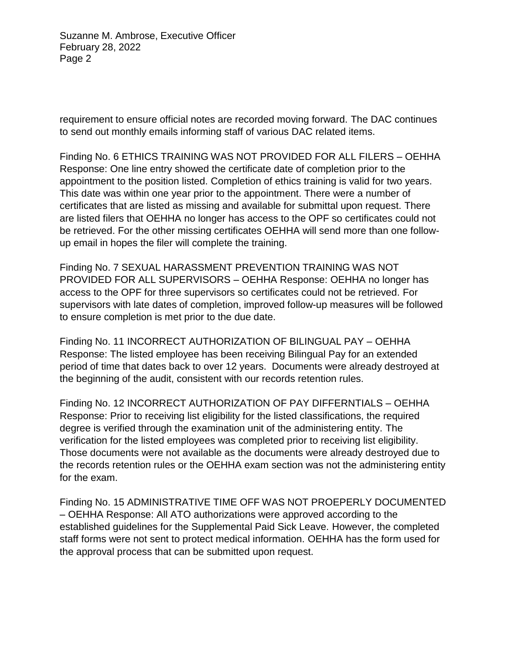Suzanne M. Ambrose, Executive Officer February 28, 2022 Page 2

requirement to ensure official notes are recorded moving forward. The DAC continues to send out monthly emails informing staff of various DAC related items.

Finding No. 6 ETHICS TRAINING WAS NOT PROVIDED FOR ALL FILERS – OEHHA Response: One line entry showed the certificate date of completion prior to the appointment to the position listed. Completion of ethics training is valid for two years. This date was within one year prior to the appointment. There were a number of certificates that are listed as missing and available for submittal upon request. There are listed filers that OEHHA no longer has access to the OPF so certificates could not be retrieved. For the other missing certificates OEHHA will send more than one followup email in hopes the filer will complete the training.

Finding No. 7 SEXUAL HARASSMENT PREVENTION TRAINING WAS NOT PROVIDED FOR ALL SUPERVISORS – OEHHA Response: OEHHA no longer has access to the OPF for three supervisors so certificates could not be retrieved. For supervisors with late dates of completion, improved follow-up measures will be followed to ensure completion is met prior to the due date.

Finding No. 11 INCORRECT AUTHORIZATION OF BILINGUAL PAY – OEHHA Response: The listed employee has been receiving Bilingual Pay for an extended period of time that dates back to over 12 years. Documents were already destroyed at the beginning of the audit, consistent with our records retention rules.

Finding No. 12 INCORRECT AUTHORIZATION OF PAY DIFFERNTIALS – OEHHA Response: Prior to receiving list eligibility for the listed classifications, the required degree is verified through the examination unit of the administering entity. The verification for the listed employees was completed prior to receiving list eligibility. Those documents were not available as the documents were already destroyed due to the records retention rules or the OEHHA exam section was not the administering entity for the exam.

Finding No. 15 ADMINISTRATIVE TIME OFF WAS NOT PROEPERLY DOCUMENTED – OEHHA Response: All ATO authorizations were approved according to the established guidelines for the Supplemental Paid Sick Leave. However, the completed staff forms were not sent to protect medical information. OEHHA has the form used for the approval process that can be submitted upon request.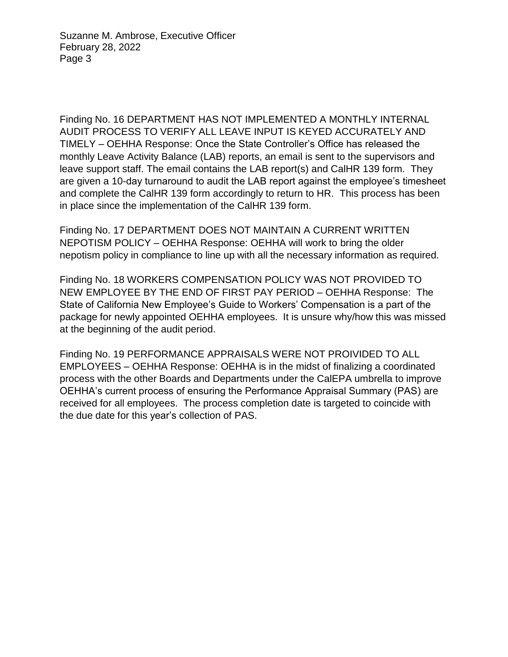Suzanne M. Ambrose, Executive Officer February 28, 2022 Page 3

Finding No. 16 DEPARTMENT HAS NOT IMPLEMENTED A MONTHLY INTERNAL AUDIT PROCESS TO VERIFY ALL LEAVE INPUT IS KEYED ACCURATELY AND TIMELY – OEHHA Response: Once the State Controller's Office has released the monthly Leave Activity Balance (LAB) reports, an email is sent to the supervisors and leave support staff. The email contains the LAB report(s) and CalHR 139 form. They are given a 10-day turnaround to audit the LAB report against the employee's timesheet and complete the CalHR 139 form accordingly to return to HR. This process has been in place since the implementation of the CalHR 139 form.

Finding No. 17 DEPARTMENT DOES NOT MAINTAIN A CURRENT WRITTEN NEPOTISM POLICY – OEHHA Response: OEHHA will work to bring the older nepotism policy in compliance to line up with all the necessary information as required.

Finding No. 18 WORKERS COMPENSATION POLICY WAS NOT PROVIDED TO NEW EMPLOYEE BY THE END OF FIRST PAY PERIOD – OEHHA Response: The State of California New Employee's Guide to Workers' Compensation is a part of the package for newly appointed OEHHA employees. It is unsure why/how this was missed at the beginning of the audit period.

Finding No. 19 PERFORMANCE APPRAISALS WERE NOT PROIVIDED TO ALL EMPLOYEES – OEHHA Response: OEHHA is in the midst of finalizing a coordinated process with the other Boards and Departments under the CalEPA umbrella to improve OEHHA's current process of ensuring the Performance Appraisal Summary (PAS) are received for all employees. The process completion date is targeted to coincide with the due date for this year's collection of PAS.